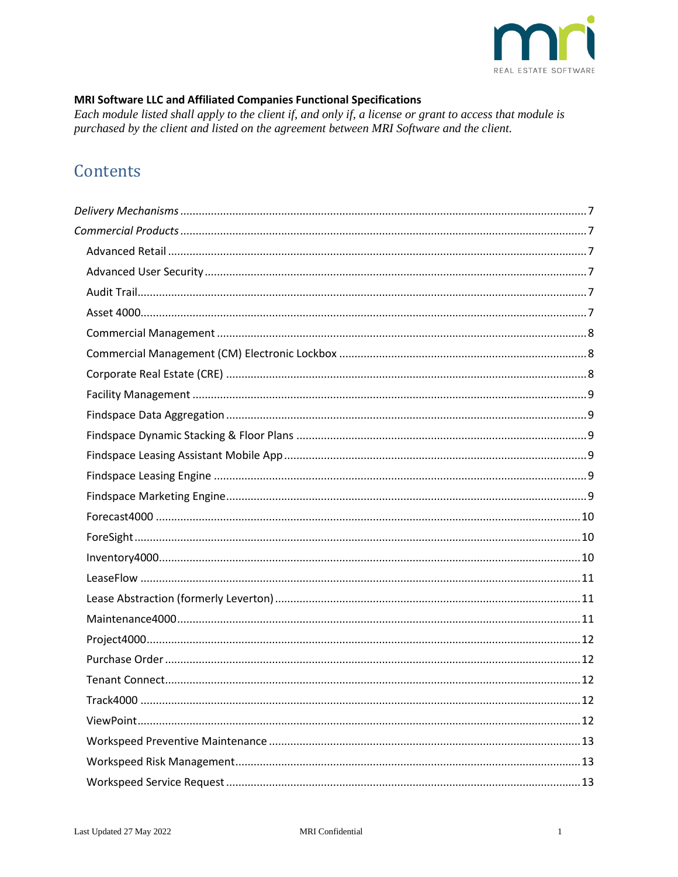

### MRI Software LLC and Affiliated Companies Functional Specifications

Each module listed shall apply to the client if, and only if, a license or grant to access that module is purchased by the client and listed on the agreement between MRI Software and the client.

# Contents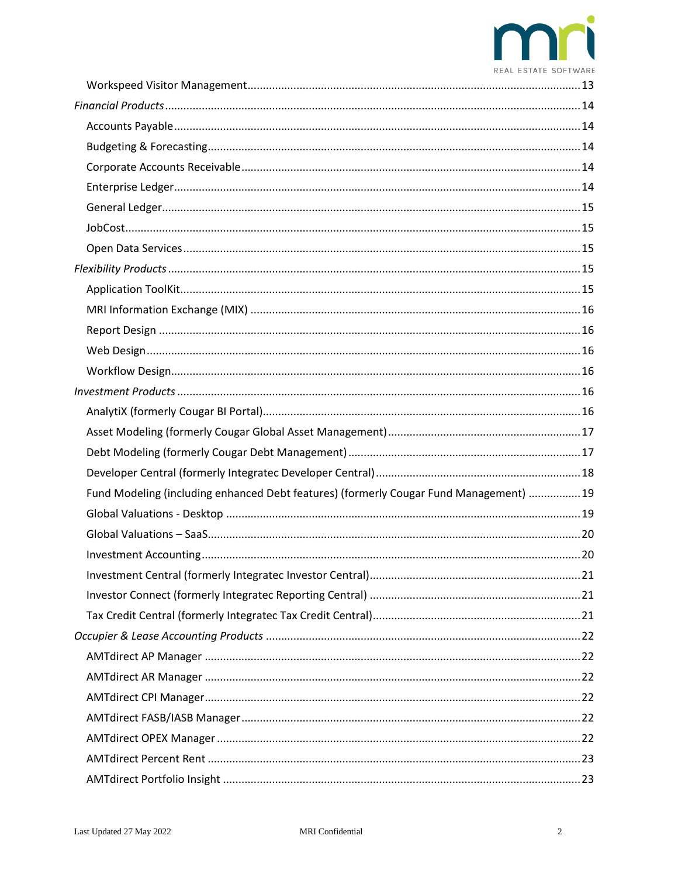

| Fund Modeling (including enhanced Debt features) (formerly Cougar Fund Management)  19 |  |
|----------------------------------------------------------------------------------------|--|
|                                                                                        |  |
|                                                                                        |  |
|                                                                                        |  |
|                                                                                        |  |
|                                                                                        |  |
|                                                                                        |  |
|                                                                                        |  |
|                                                                                        |  |
|                                                                                        |  |
|                                                                                        |  |
|                                                                                        |  |
|                                                                                        |  |
|                                                                                        |  |
|                                                                                        |  |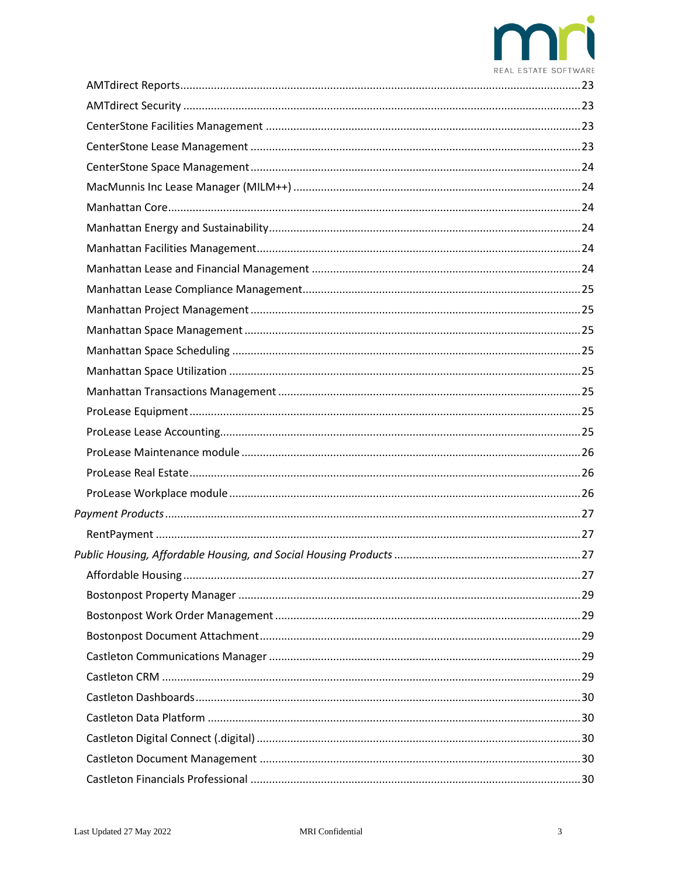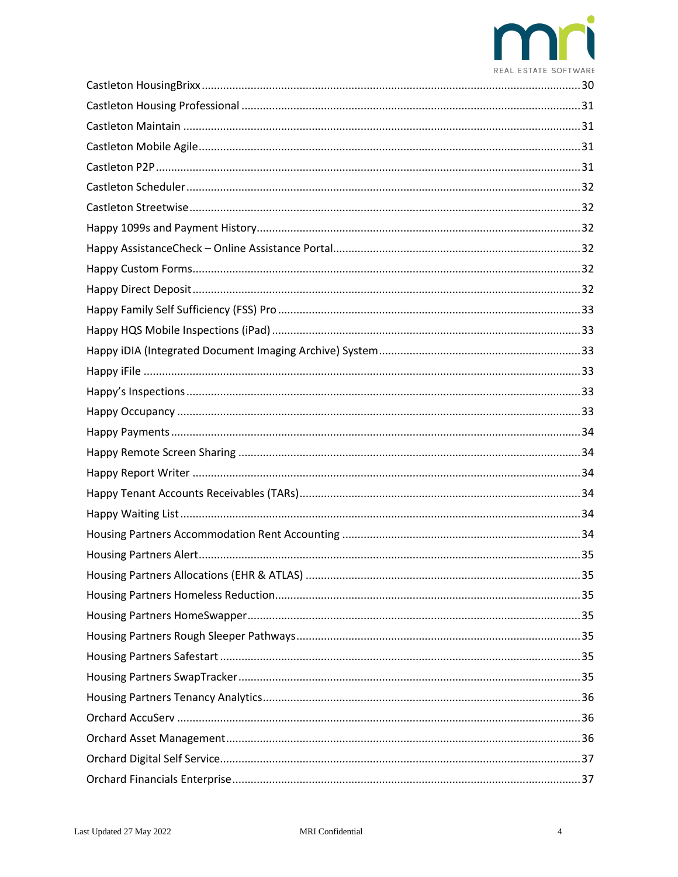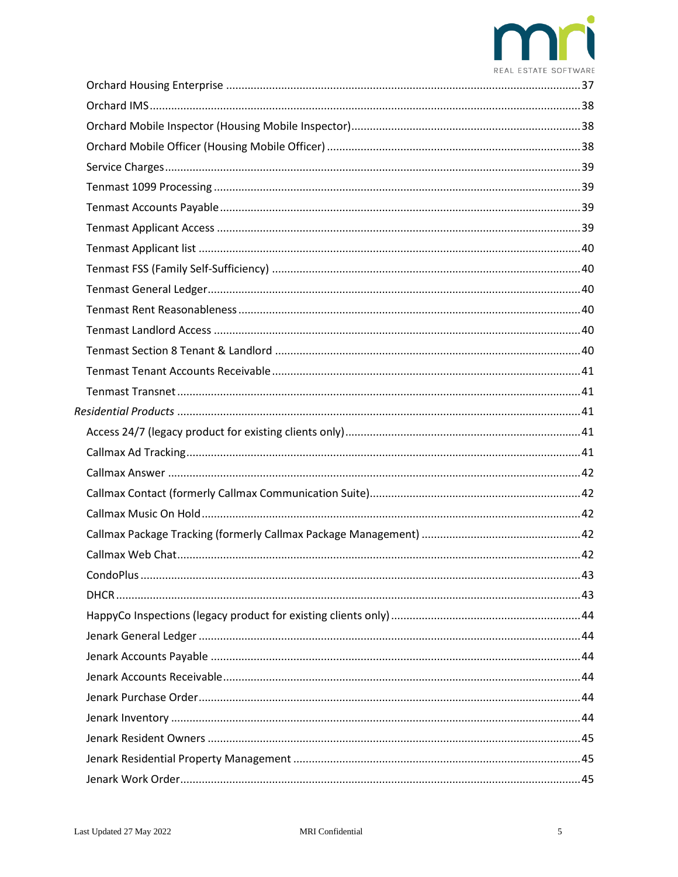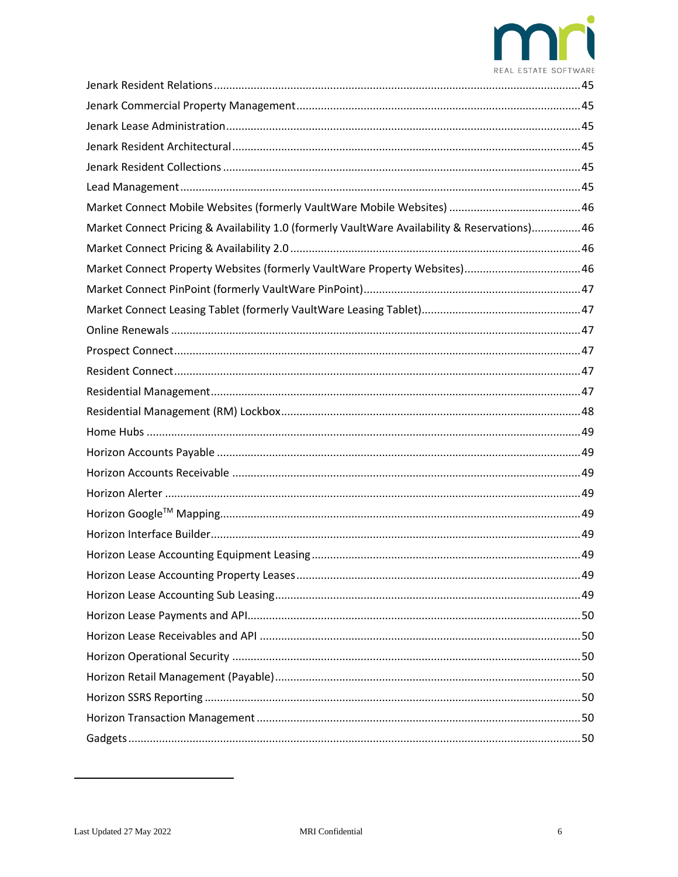

| Market Connect Pricing & Availability 1.0 (formerly VaultWare Availability & Reservations)46 |  |
|----------------------------------------------------------------------------------------------|--|
|                                                                                              |  |
| Market Connect Property Websites (formerly VaultWare Property Websites)46                    |  |
|                                                                                              |  |
|                                                                                              |  |
|                                                                                              |  |
|                                                                                              |  |
|                                                                                              |  |
|                                                                                              |  |
|                                                                                              |  |
|                                                                                              |  |
|                                                                                              |  |
|                                                                                              |  |
|                                                                                              |  |
|                                                                                              |  |
|                                                                                              |  |
|                                                                                              |  |
|                                                                                              |  |
|                                                                                              |  |
|                                                                                              |  |
|                                                                                              |  |
|                                                                                              |  |
|                                                                                              |  |
|                                                                                              |  |
|                                                                                              |  |
|                                                                                              |  |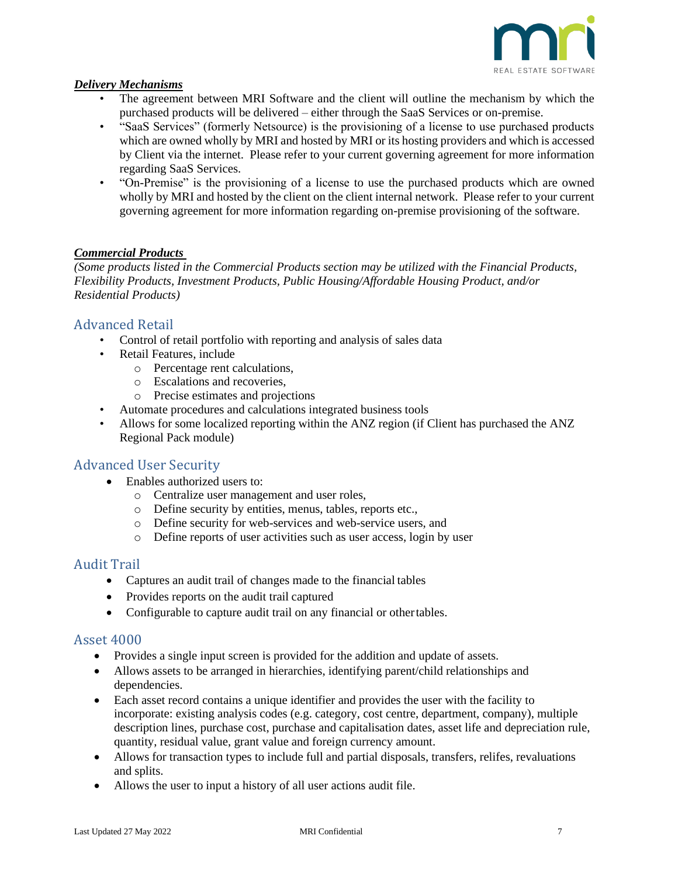

#### <span id="page-6-0"></span>*Delivery Mechanisms*

- The agreement between MRI Software and the client will outline the mechanism by which the purchased products will be delivered – either through the SaaS Services or on-premise.
- "SaaS Services" (formerly Netsource) is the provisioning of a license to use purchased products which are owned wholly by MRI and hosted by MRI or its hosting providers and which is accessed by Client via the internet. Please refer to your current governing agreement for more information regarding SaaS Services.
- "On-Premise" is the provisioning of a license to use the purchased products which are owned wholly by MRI and hosted by the client on the client internal network. Please refer to your current governing agreement for more information regarding on-premise provisioning of the software.

#### <span id="page-6-1"></span>*Commercial Products*

*(Some products listed in the Commercial Products section may be utilized with the Financial Products, Flexibility Products, Investment Products, Public Housing/Affordable Housing Product, and/or Residential Products)*

### <span id="page-6-2"></span>Advanced Retail

- Control of retail portfolio with reporting and analysis of sales data
- Retail Features, include
	- o Percentage rent calculations,
	- o Escalations and recoveries,
	- o Precise estimates and projections
- Automate procedures and calculations integrated business tools
- Allows for some localized reporting within the ANZ region (if Client has purchased the ANZ Regional Pack module)

#### <span id="page-6-3"></span>Advanced User Security

- Enables authorized users to:
	- o Centralize user management and user roles,
	- o Define security by entities, menus, tables, reports etc.,
	- o Define security for web-services and web-service users, and
	- o Define reports of user activities such as user access, login by user

#### <span id="page-6-4"></span>Audit Trail

- Captures an audit trail of changes made to the financial tables
- Provides reports on the audit trail captured
- Configurable to capture audit trail on any financial or other tables.

#### <span id="page-6-5"></span>Asset 4000

- Provides a single input screen is provided for the addition and update of assets.
- Allows assets to be arranged in hierarchies, identifying parent/child relationships and dependencies.
- Each asset record contains a unique identifier and provides the user with the facility to incorporate: existing analysis codes (e.g. category, cost centre, department, company), multiple description lines, purchase cost, purchase and capitalisation dates, asset life and depreciation rule, quantity, residual value, grant value and foreign currency amount.
- Allows for transaction types to include full and partial disposals, transfers, relifes, revaluations and splits.
- Allows the user to input a history of all user actions audit file.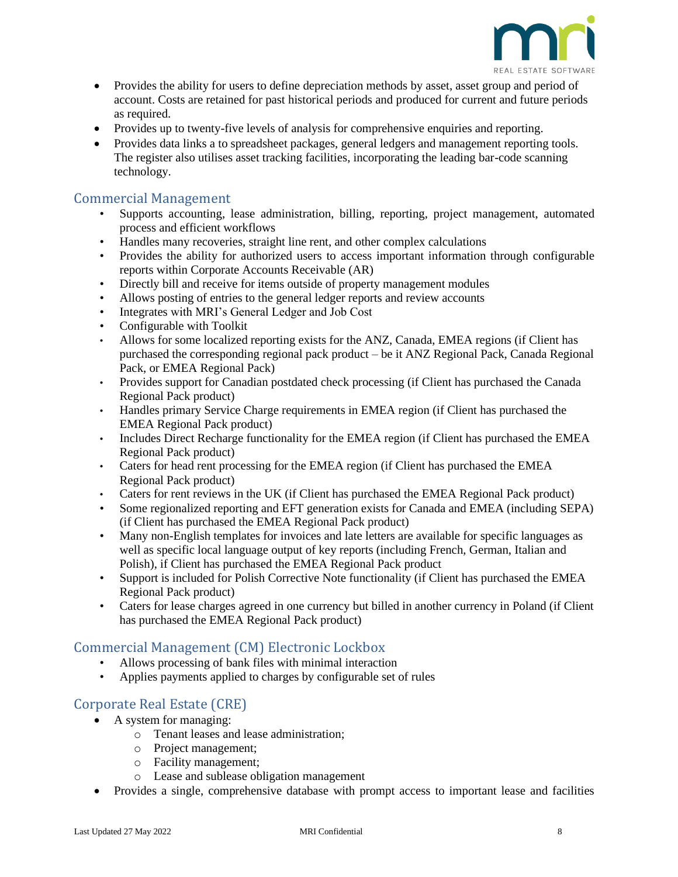

- Provides the ability for users to define depreciation methods by asset, asset group and period of account. Costs are retained for past historical periods and produced for current and future periods as required.
- Provides up to twenty-five levels of analysis for comprehensive enquiries and reporting.
- Provides data links a to spreadsheet packages, general ledgers and management reporting tools. The register also utilises asset tracking facilities, incorporating the leading bar-code scanning technology.

#### <span id="page-7-0"></span>Commercial Management

- Supports accounting, lease administration, billing, reporting, project management, automated process and efficient workflows
- Handles many recoveries, straight line rent, and other complex calculations
- Provides the ability for authorized users to access important information through configurable reports within Corporate Accounts Receivable (AR)
- Directly bill and receive for items outside of property management modules
- Allows posting of entries to the general ledger reports and review accounts
- Integrates with MRI's General Ledger and Job Cost
- Configurable with Toolkit
- Allows for some localized reporting exists for the ANZ, Canada, EMEA regions (if Client has purchased the corresponding regional pack product – be it ANZ Regional Pack, Canada Regional Pack, or EMEA Regional Pack)
- Provides support for Canadian postdated check processing (if Client has purchased the Canada Regional Pack product)
- Handles primary Service Charge requirements in EMEA region (if Client has purchased the EMEA Regional Pack product)
- Includes Direct Recharge functionality for the EMEA region (if Client has purchased the EMEA Regional Pack product)
- Caters for head rent processing for the EMEA region (if Client has purchased the EMEA Regional Pack product)
- Caters for rent reviews in the UK (if Client has purchased the EMEA Regional Pack product)
- Some regionalized reporting and EFT generation exists for Canada and EMEA (including SEPA) (if Client has purchased the EMEA Regional Pack product)
- Many non-English templates for invoices and late letters are available for specific languages as well as specific local language output of key reports (including French, German, Italian and Polish), if Client has purchased the EMEA Regional Pack product
- Support is included for Polish Corrective Note functionality (if Client has purchased the EMEA Regional Pack product)
- Caters for lease charges agreed in one currency but billed in another currency in Poland (if Client has purchased the EMEA Regional Pack product)

### <span id="page-7-1"></span>Commercial Management (CM) Electronic Lockbox

- Allows processing of bank files with minimal interaction
- Applies payments applied to charges by configurable set of rules

### <span id="page-7-2"></span>Corporate Real Estate (CRE)

- A system for managing:
	- o Tenant leases and lease administration;
	- o Project management;
	- o Facility management;
	- o Lease and sublease obligation management
- Provides a single, comprehensive database with prompt access to important lease and facilities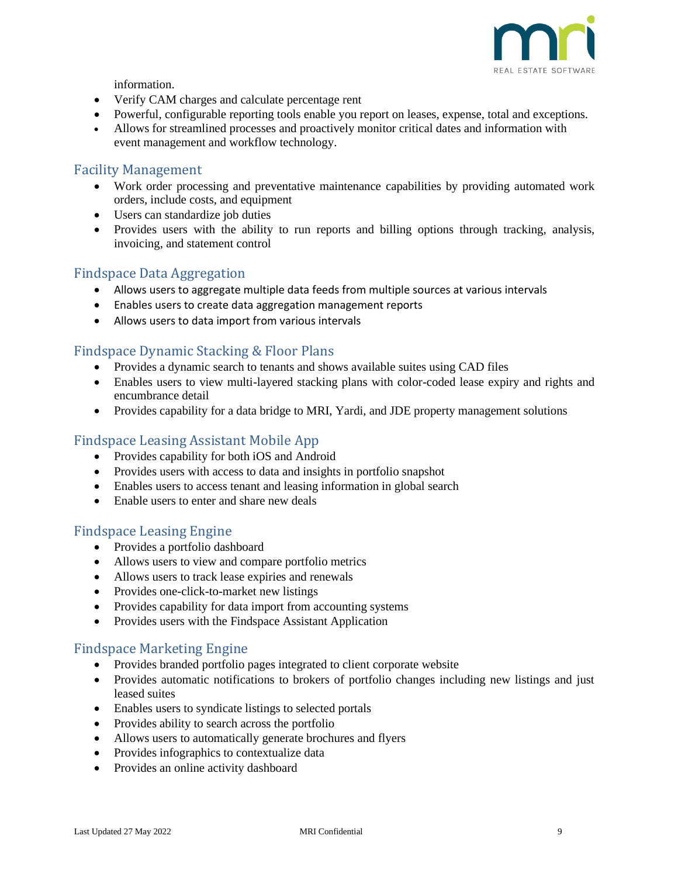

information.

- Verify CAM charges and calculate percentage rent
- Powerful, configurable reporting tools enable you report on leases, expense, total and exceptions.
- Allows for streamlined processes and proactively monitor critical dates and information with event management and workflow technology.

#### <span id="page-8-0"></span>Facility Management

- Work order processing and preventative maintenance capabilities by providing automated work orders, include costs, and equipment
- Users can standardize job duties
- Provides users with the ability to run reports and billing options through tracking, analysis, invoicing, and statement control

#### <span id="page-8-1"></span>Findspace Data Aggregation

- Allows users to aggregate multiple data feeds from multiple sources at various intervals
- Enables users to create data aggregation management reports
- Allows users to data import from various intervals

### <span id="page-8-2"></span>Findspace Dynamic Stacking & Floor Plans

- Provides a dynamic search to tenants and shows available suites using CAD files
- Enables users to view multi-layered stacking plans with color-coded lease expiry and rights and encumbrance detail
- Provides capability for a data bridge to MRI, Yardi, and JDE property management solutions

#### <span id="page-8-3"></span>Findspace Leasing Assistant Mobile App

- Provides capability for both iOS and Android
- Provides users with access to data and insights in portfolio snapshot
- Enables users to access tenant and leasing information in global search
- Enable users to enter and share new deals

#### <span id="page-8-4"></span>Findspace Leasing Engine

- Provides a portfolio dashboard
- Allows users to view and compare portfolio metrics
- Allows users to track lease expiries and renewals
- Provides one-click-to-market new listings
- Provides capability for data import from accounting systems
- Provides users with the Findspace Assistant Application

### <span id="page-8-5"></span>Findspace Marketing Engine

- Provides branded portfolio pages integrated to client corporate website
- Provides automatic notifications to brokers of portfolio changes including new listings and just leased suites
- Enables users to syndicate listings to selected portals
- Provides ability to search across the portfolio
- Allows users to automatically generate brochures and flyers
- Provides infographics to contextualize data
- Provides an online activity dashboard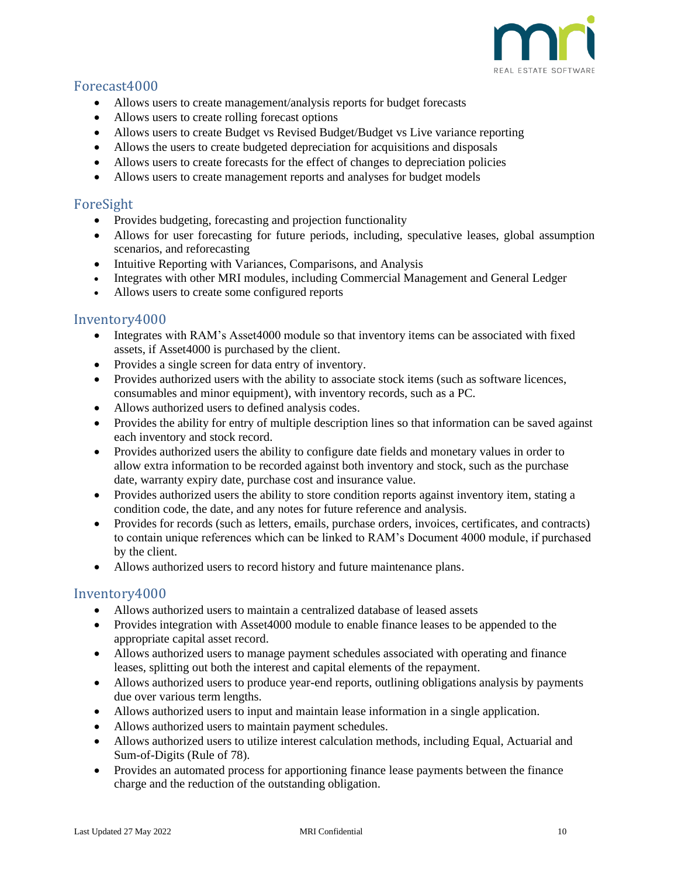![](_page_9_Picture_0.jpeg)

## <span id="page-9-0"></span>Forecast4000

- Allows users to create management/analysis reports for budget forecasts
- Allows users to create rolling forecast options
- Allows users to create Budget vs Revised Budget/Budget vs Live variance reporting
- Allows the users to create budgeted depreciation for acquisitions and disposals
- Allows users to create forecasts for the effect of changes to depreciation policies
- Allows users to create management reports and analyses for budget models

#### <span id="page-9-1"></span>ForeSight

- Provides budgeting, forecasting and projection functionality
- Allows for user forecasting for future periods, including, speculative leases, global assumption scenarios, and reforecasting
- Intuitive Reporting with Variances, Comparisons, and Analysis
- Integrates with other MRI modules, including Commercial Management and General Ledger
- Allows users to create some configured reports

#### <span id="page-9-2"></span>Inventory4000

- Integrates with RAM's Asset4000 module so that inventory items can be associated with fixed assets, if Asset4000 is purchased by the client.
- Provides a single screen for data entry of inventory.
- Provides authorized users with the ability to associate stock items (such as software licences, consumables and minor equipment), with inventory records, such as a PC.
- Allows authorized users to defined analysis codes.
- Provides the ability for entry of multiple description lines so that information can be saved against each inventory and stock record.
- Provides authorized users the ability to configure date fields and monetary values in order to allow extra information to be recorded against both inventory and stock, such as the purchase date, warranty expiry date, purchase cost and insurance value.
- Provides authorized users the ability to store condition reports against inventory item, stating a condition code, the date, and any notes for future reference and analysis.
- Provides for records (such as letters, emails, purchase orders, invoices, certificates, and contracts) to contain unique references which can be linked to RAM's Document 4000 module, if purchased by the client.
- Allows authorized users to record history and future maintenance plans.

#### Inventory4000

- Allows authorized users to maintain a centralized database of leased assets
- Provides integration with Asset4000 module to enable finance leases to be appended to the appropriate capital asset record.
- Allows authorized users to manage payment schedules associated with operating and finance leases, splitting out both the interest and capital elements of the repayment.
- Allows authorized users to produce year-end reports, outlining obligations analysis by payments due over various term lengths.
- Allows authorized users to input and maintain lease information in a single application.
- Allows authorized users to maintain payment schedules.
- Allows authorized users to utilize interest calculation methods, including Equal, Actuarial and Sum-of-Digits (Rule of 78).
- Provides an automated process for apportioning finance lease payments between the finance charge and the reduction of the outstanding obligation.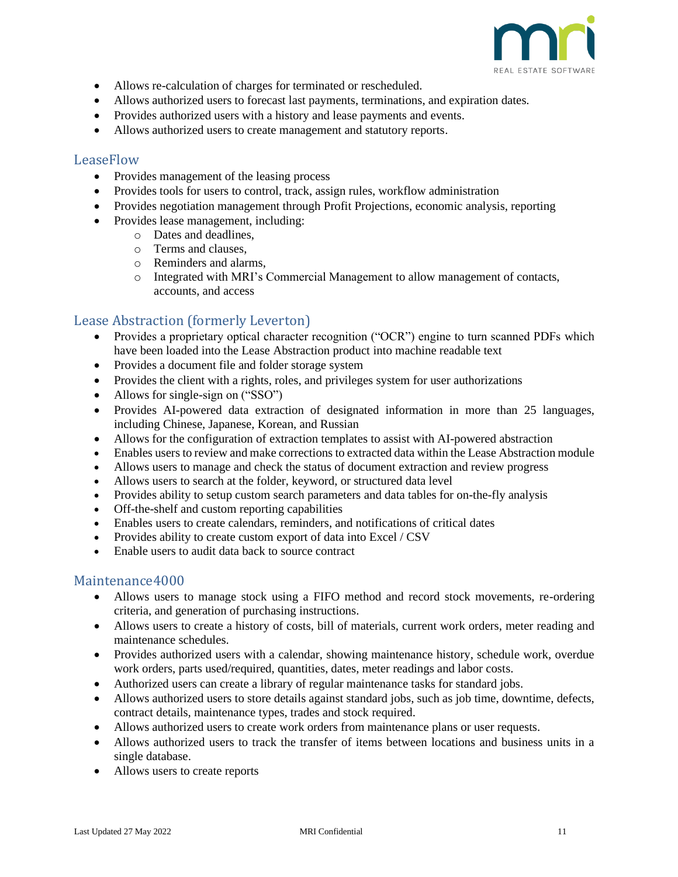![](_page_10_Picture_0.jpeg)

- Allows re-calculation of charges for terminated or rescheduled.
- Allows authorized users to forecast last payments, terminations, and expiration dates.
- Provides authorized users with a history and lease payments and events.
- Allows authorized users to create management and statutory reports.

#### <span id="page-10-0"></span>LeaseFlow

- Provides management of the leasing process
- Provides tools for users to control, track, assign rules, workflow administration
- Provides negotiation management through Profit Projections, economic analysis, reporting
- Provides lease management, including:
	- o Dates and deadlines,
	- o Terms and clauses,
	- o Reminders and alarms,
	- o Integrated with MRI's Commercial Management to allow management of contacts, accounts, and access

### <span id="page-10-1"></span>Lease Abstraction (formerly Leverton)

- Provides a proprietary optical character recognition ("OCR") engine to turn scanned PDFs which have been loaded into the Lease Abstraction product into machine readable text
- Provides a document file and folder storage system
- Provides the client with a rights, roles, and privileges system for user authorizations
- Allows for single-sign on ("SSO")
- Provides AI-powered data extraction of designated information in more than 25 languages, including Chinese, Japanese, Korean, and Russian
- Allows for the configuration of extraction templates to assist with AI-powered abstraction
- Enables users to review and make corrections to extracted data within the Lease Abstraction module
- Allows users to manage and check the status of document extraction and review progress
- Allows users to search at the folder, keyword, or structured data level
- Provides ability to setup custom search parameters and data tables for on-the-fly analysis
- Off-the-shelf and custom reporting capabilities
- Enables users to create calendars, reminders, and notifications of critical dates
- Provides ability to create custom export of data into Excel / CSV
- Enable users to audit data back to source contract

#### <span id="page-10-2"></span>Maintenance4000

- Allows users to manage stock using a FIFO method and record stock movements, re-ordering criteria, and generation of purchasing instructions.
- Allows users to create a history of costs, bill of materials, current work orders, meter reading and maintenance schedules.
- Provides authorized users with a calendar, showing maintenance history, schedule work, overdue work orders, parts used/required, quantities, dates, meter readings and labor costs.
- Authorized users can create a library of regular maintenance tasks for standard jobs.
- Allows authorized users to store details against standard jobs, such as job time, downtime, defects, contract details, maintenance types, trades and stock required.
- Allows authorized users to create work orders from maintenance plans or user requests.
- Allows authorized users to track the transfer of items between locations and business units in a single database.
- Allows users to create reports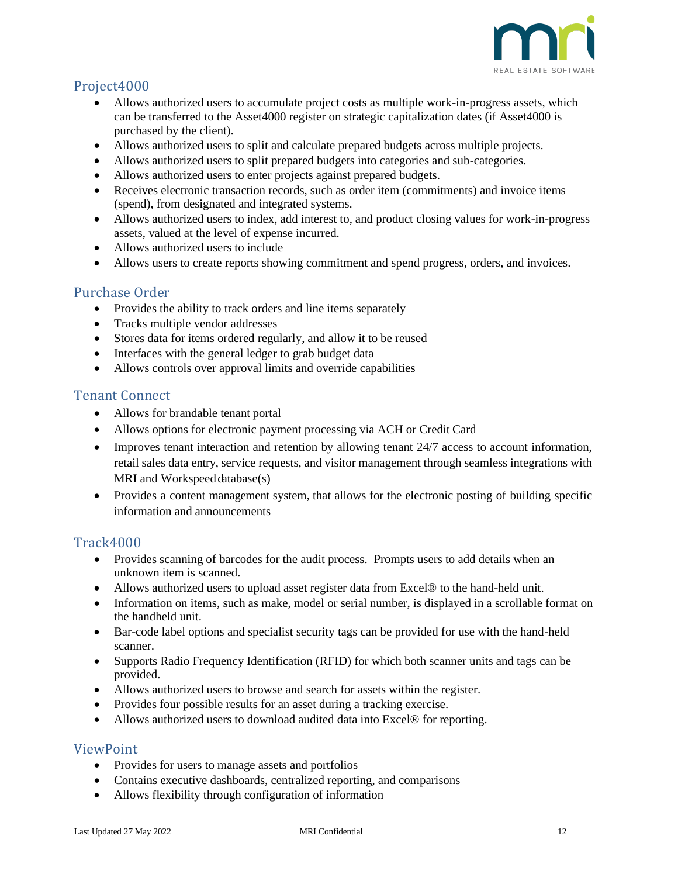![](_page_11_Picture_0.jpeg)

# <span id="page-11-0"></span>Project4000

- Allows authorized users to accumulate project costs as multiple work-in-progress assets, which can be transferred to the Asset4000 register on strategic capitalization dates (if Asset4000 is purchased by the client).
- Allows authorized users to split and calculate prepared budgets across multiple projects.
- Allows authorized users to split prepared budgets into categories and sub-categories.
- Allows authorized users to enter projects against prepared budgets.
- Receives electronic transaction records, such as order item (commitments) and invoice items (spend), from designated and integrated systems.
- Allows authorized users to index, add interest to, and product closing values for work-in-progress assets, valued at the level of expense incurred.
- Allows authorized users to include
- Allows users to create reports showing commitment and spend progress, orders, and invoices.

#### <span id="page-11-1"></span>Purchase Order

- Provides the ability to track orders and line items separately
- Tracks multiple vendor addresses
- Stores data for items ordered regularly, and allow it to be reused
- Interfaces with the general ledger to grab budget data
- Allows controls over approval limits and override capabilities

### <span id="page-11-2"></span>Tenant Connect

- Allows for brandable tenant portal
- Allows options for electronic payment processing via ACH or Credit Card
- Improves tenant interaction and retention by allowing tenant 24/7 access to account information, retail sales data entry, service requests, and visitor management through seamless integrations with MRI and Workspeed database(s)
- Provides a content management system, that allows for the electronic posting of building specific information and announcements

### <span id="page-11-3"></span>Track4000

- Provides scanning of barcodes for the audit process. Prompts users to add details when an unknown item is scanned.
- Allows authorized users to upload asset register data from Excel® to the hand-held unit.
- Information on items, such as make, model or serial number, is displayed in a scrollable format on the handheld unit.
- Bar-code label options and specialist security tags can be provided for use with the hand-held scanner.
- Supports Radio Frequency Identification (RFID) for which both scanner units and tags can be provided.
- Allows authorized users to browse and search for assets within the register.
- Provides four possible results for an asset during a tracking exercise.
- Allows authorized users to download audited data into Excel® for reporting.

#### <span id="page-11-4"></span>ViewPoint

- Provides for users to manage assets and portfolios
- Contains executive dashboards, centralized reporting, and comparisons
- Allows flexibility through configuration of information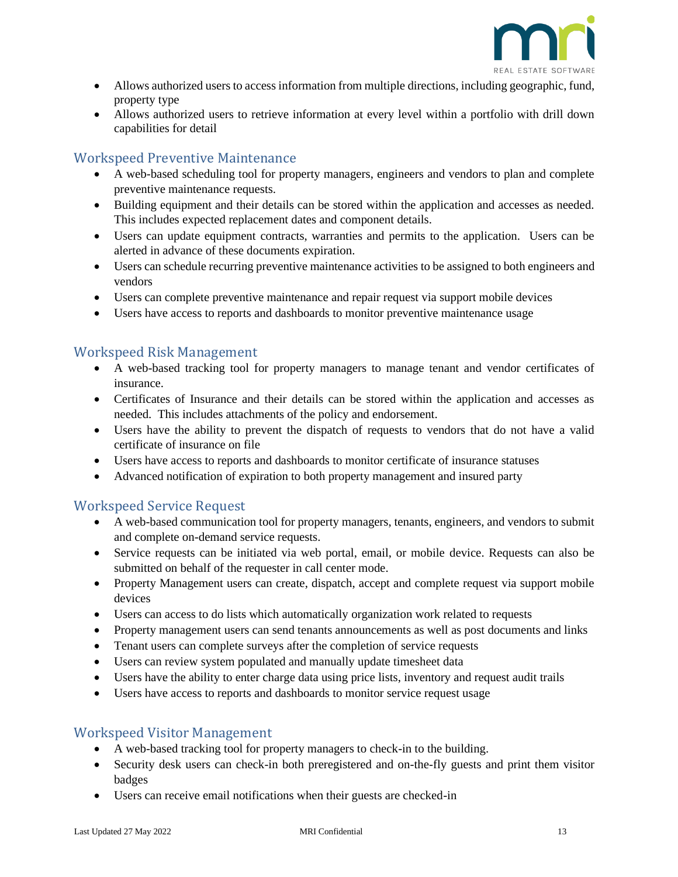![](_page_12_Picture_0.jpeg)

- Allows authorized users to access information from multiple directions, including geographic, fund, property type
- Allows authorized users to retrieve information at every level within a portfolio with drill down capabilities for detail

## <span id="page-12-0"></span>Workspeed Preventive Maintenance

- A web-based scheduling tool for property managers, engineers and vendors to plan and complete preventive maintenance requests.
- Building equipment and their details can be stored within the application and accesses as needed. This includes expected replacement dates and component details.
- Users can update equipment contracts, warranties and permits to the application. Users can be alerted in advance of these documents expiration.
- Users can schedule recurring preventive maintenance activities to be assigned to both engineers and vendors
- Users can complete preventive maintenance and repair request via support mobile devices
- Users have access to reports and dashboards to monitor preventive maintenance usage

#### <span id="page-12-1"></span>Workspeed Risk Management

- A web-based tracking tool for property managers to manage tenant and vendor certificates of insurance.
- Certificates of Insurance and their details can be stored within the application and accesses as needed. This includes attachments of the policy and endorsement.
- Users have the ability to prevent the dispatch of requests to vendors that do not have a valid certificate of insurance on file
- Users have access to reports and dashboards to monitor certificate of insurance statuses
- Advanced notification of expiration to both property management and insured party

### <span id="page-12-2"></span>Workspeed Service Request

- A web-based communication tool for property managers, tenants, engineers, and vendors to submit and complete on-demand service requests.
- Service requests can be initiated via web portal, email, or mobile device. Requests can also be submitted on behalf of the requester in call center mode.
- Property Management users can create, dispatch, accept and complete request via support mobile devices
- Users can access to do lists which automatically organization work related to requests
- Property management users can send tenants announcements as well as post documents and links
- Tenant users can complete surveys after the completion of service requests
- Users can review system populated and manually update timesheet data
- Users have the ability to enter charge data using price lists, inventory and request audit trails
- Users have access to reports and dashboards to monitor service request usage

#### <span id="page-12-3"></span>Workspeed Visitor Management

- A web-based tracking tool for property managers to check-in to the building.
- Security desk users can check-in both preregistered and on-the-fly guests and print them visitor badges
- Users can receive email notifications when their guests are checked-in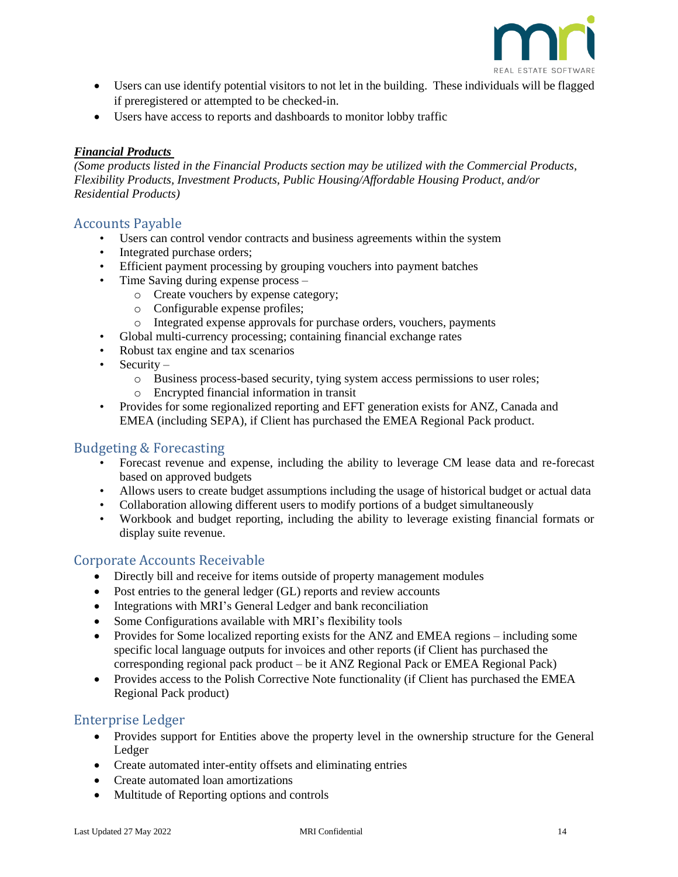![](_page_13_Picture_0.jpeg)

- Users can use identify potential visitors to not let in the building. These individuals will be flagged if preregistered or attempted to be checked-in.
- Users have access to reports and dashboards to monitor lobby traffic

#### <span id="page-13-0"></span>*Financial Products*

*(Some products listed in the Financial Products section may be utilized with the Commercial Products, Flexibility Products, Investment Products, Public Housing/Affordable Housing Product, and/or Residential Products)*

#### <span id="page-13-1"></span>Accounts Payable

- Users can control vendor contracts and business agreements within the system
- Integrated purchase orders;
- Efficient payment processing by grouping vouchers into payment batches
- Time Saving during expense process
	- o Create vouchers by expense category;
	- o Configurable expense profiles;
	- o Integrated expense approvals for purchase orders, vouchers, payments
- Global multi-currency processing; containing financial exchange rates
- Robust tax engine and tax scenarios
- Security
	- o Business process-based security, tying system access permissions to user roles;
	- o Encrypted financial information in transit
- Provides for some regionalized reporting and EFT generation exists for ANZ, Canada and EMEA (including SEPA), if Client has purchased the EMEA Regional Pack product.

#### <span id="page-13-2"></span>Budgeting & Forecasting

- Forecast revenue and expense, including the ability to leverage CM lease data and re-forecast based on approved budgets
- Allows users to create budget assumptions including the usage of historical budget or actual data
- Collaboration allowing different users to modify portions of a budget simultaneously
- Workbook and budget reporting, including the ability to leverage existing financial formats or display suite revenue.

#### <span id="page-13-3"></span>Corporate Accounts Receivable

- Directly bill and receive for items outside of property management modules
- Post entries to the general ledger (GL) reports and review accounts
- Integrations with MRI's General Ledger and bank reconciliation
- Some Configurations available with MRI's flexibility tools
- Provides for Some localized reporting exists for the ANZ and EMEA regions including some specific local language outputs for invoices and other reports (if Client has purchased the corresponding regional pack product – be it ANZ Regional Pack or EMEA Regional Pack)
- Provides access to the Polish Corrective Note functionality (if Client has purchased the EMEA Regional Pack product)

#### <span id="page-13-4"></span>Enterprise Ledger

- Provides support for Entities above the property level in the ownership structure for the General Ledger
- Create automated inter-entity offsets and eliminating entries
- Create automated loan amortizations
- Multitude of Reporting options and controls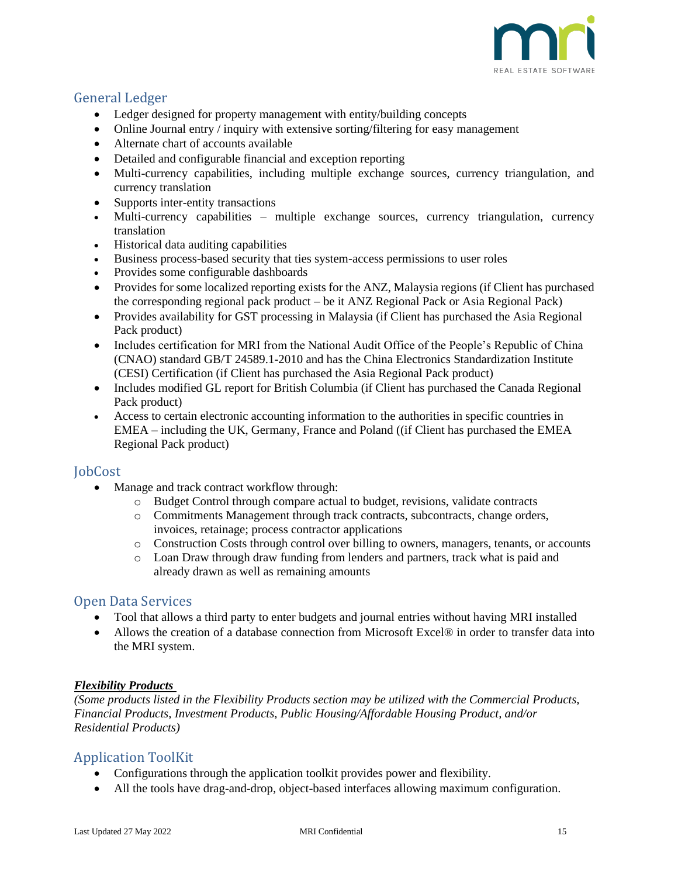![](_page_14_Picture_0.jpeg)

## <span id="page-14-0"></span>General Ledger

- Ledger designed for property management with entity/building concepts
- Online Journal entry / inquiry with extensive sorting/filtering for easy management
- Alternate chart of accounts available
- Detailed and configurable financial and exception reporting
- Multi-currency capabilities, including multiple exchange sources, currency triangulation, and currency translation
- Supports inter-entity transactions
- Multi-currency capabilities multiple exchange sources, currency triangulation, currency translation
- Historical data auditing capabilities
- Business process-based security that ties system-access permissions to user roles
- Provides some configurable dashboards
- Provides for some localized reporting exists for the ANZ, Malaysia regions (if Client has purchased the corresponding regional pack product – be it ANZ Regional Pack or Asia Regional Pack)
- Provides availability for GST processing in Malaysia (if Client has purchased the Asia Regional Pack product)
- Includes certification for MRI from the National Audit Office of the People's Republic of China (CNAO) standard GB/T 24589.1-2010 and has the China Electronics Standardization Institute (CESI) Certification (if Client has purchased the Asia Regional Pack product)
- Includes modified GL report for British Columbia (if Client has purchased the Canada Regional Pack product)
- Access to certain electronic accounting information to the authorities in specific countries in EMEA – including the UK, Germany, France and Poland ((if Client has purchased the EMEA Regional Pack product)

#### <span id="page-14-1"></span>**JobCost**

- Manage and track contract workflow through:
	- o Budget Control through compare actual to budget, revisions, validate contracts
	- o Commitments Management through track contracts, subcontracts, change orders, invoices, retainage; process contractor applications
	- o Construction Costs through control over billing to owners, managers, tenants, or accounts
	- o Loan Draw through draw funding from lenders and partners, track what is paid and already drawn as well as remaining amounts

#### <span id="page-14-2"></span>Open Data Services

- Tool that allows a third party to enter budgets and journal entries without having MRI installed
- Allows the creation of a database connection from Microsoft Excel® in order to transfer data into the MRI system.

#### <span id="page-14-3"></span>*Flexibility Products*

*(Some products listed in the Flexibility Products section may be utilized with the Commercial Products, Financial Products, Investment Products, Public Housing/Affordable Housing Product, and/or Residential Products)*

### <span id="page-14-4"></span>Application ToolKit

- Configurations through the application toolkit provides power and flexibility.
- All the tools have drag-and-drop, object-based interfaces allowing maximum configuration.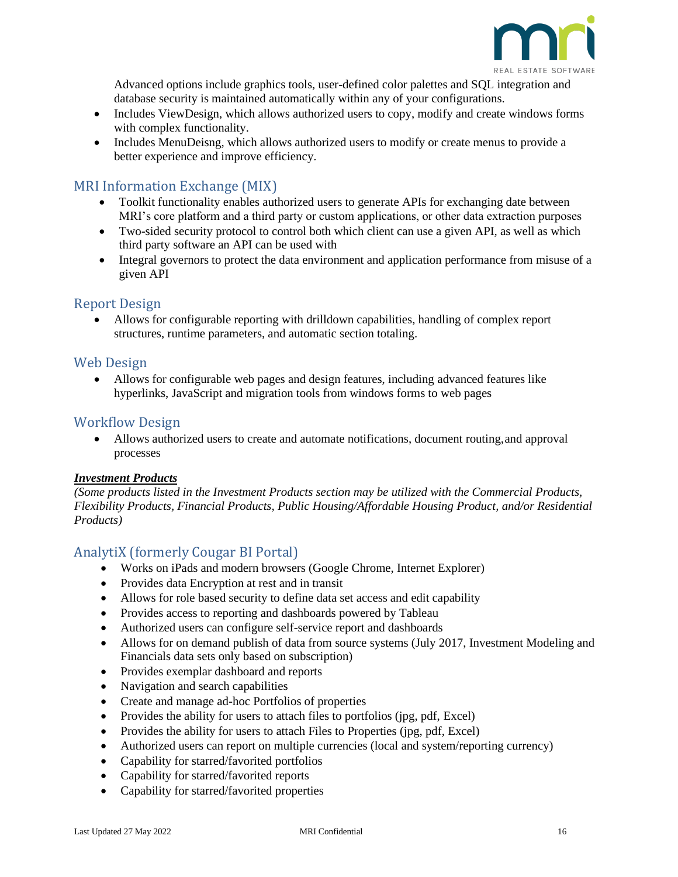![](_page_15_Picture_0.jpeg)

Advanced options include graphics tools, user-defined color palettes and SQL integration and database security is maintained automatically within any of your configurations.

- Includes ViewDesign, which allows authorized users to copy, modify and create windows forms with complex functionality.
- Includes MenuDeisng, which allows authorized users to modify or create menus to provide a better experience and improve efficiency.

### <span id="page-15-0"></span>MRI Information Exchange (MIX)

- Toolkit functionality enables authorized users to generate APIs for exchanging date between MRI's core platform and a third party or custom applications, or other data extraction purposes
- Two-sided security protocol to control both which client can use a given API, as well as which third party software an API can be used with
- Integral governors to protect the data environment and application performance from misuse of a given API

### <span id="page-15-1"></span>Report Design

• Allows for configurable reporting with drilldown capabilities, handling of complex report structures, runtime parameters, and automatic section totaling.

#### <span id="page-15-2"></span>Web Design

• Allows for configurable web pages and design features, including advanced features like hyperlinks, JavaScript and migration tools from windows forms to web pages

#### <span id="page-15-3"></span>Workflow Design

• Allows authorized users to create and automate notifications, document routing,and approval processes

#### <span id="page-15-4"></span>*Investment Products*

*(Some products listed in the Investment Products section may be utilized with the Commercial Products, Flexibility Products, Financial Products, Public Housing/Affordable Housing Product, and/or Residential Products)*

### <span id="page-15-5"></span>AnalytiX (formerly Cougar BI Portal)

- Works on iPads and modern browsers (Google Chrome, Internet Explorer)
- Provides data Encryption at rest and in transit
- Allows for role based security to define data set access and edit capability
- Provides access to reporting and dashboards powered by Tableau
- Authorized users can configure self-service report and dashboards
- Allows for on demand publish of data from source systems (July 2017, Investment Modeling and Financials data sets only based on subscription)
- Provides exemplar dashboard and reports
- Navigation and search capabilities
- Create and manage ad-hoc Portfolios of properties
- Provides the ability for users to attach files to portfolios (jpg, pdf, Excel)
- Provides the ability for users to attach Files to Properties (jpg, pdf, Excel)
- Authorized users can report on multiple currencies (local and system/reporting currency)
- Capability for starred/favorited portfolios
- Capability for starred/favorited reports
- Capability for starred/favorited properties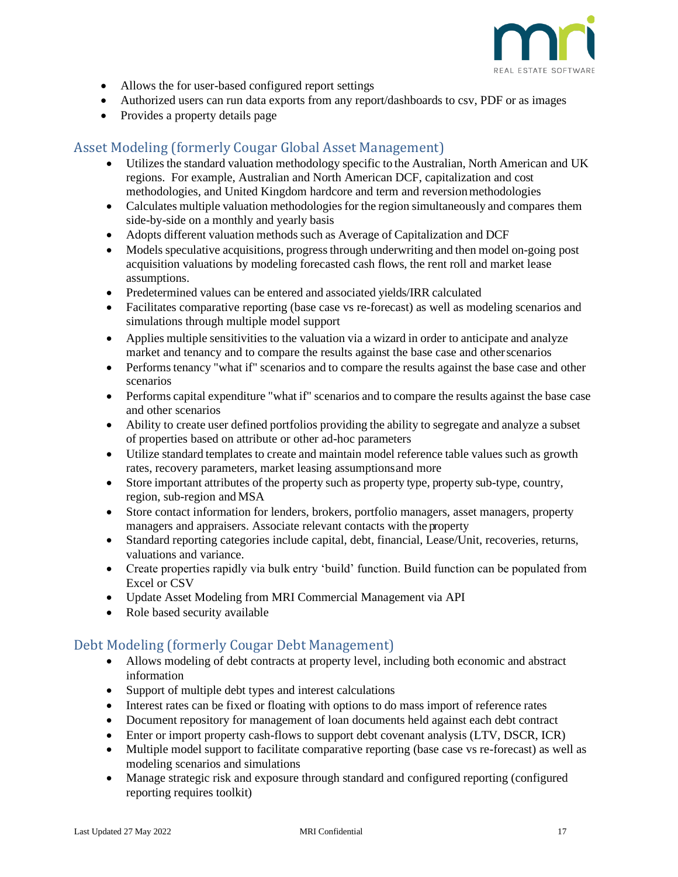![](_page_16_Picture_0.jpeg)

- Allows the for user-based configured report settings
- Authorized users can run data exports from any report/dashboards to csv, PDF or as images
- Provides a property details page

## <span id="page-16-0"></span>Asset Modeling (formerly Cougar Global Asset Management)

- Utilizes the standard valuation methodology specific to the Australian, North American and UK regions. For example, Australian and North American DCF, capitalization and cost methodologies, and United Kingdom hardcore and term and reversionmethodologies
- Calculates multiple valuation methodologies for the region simultaneously and compares them side-by-side on a monthly and yearly basis
- Adopts different valuation methods such as Average of Capitalization and DCF
- Models speculative acquisitions, progress through underwriting and then model on-going post acquisition valuations by modeling forecasted cash flows, the rent roll and market lease assumptions.
- Predetermined values can be entered and associated yields/IRR calculated
- Facilitates comparative reporting (base case vs re-forecast) as well as modeling scenarios and simulations through multiple model support
- Applies multiple sensitivities to the valuation via a wizard in order to anticipate and analyze market and tenancy and to compare the results against the base case and otherscenarios
- Performs tenancy "what if" scenarios and to compare the results against the base case and other scenarios
- Performs capital expenditure "what if" scenarios and to compare the results against the base case and other scenarios
- Ability to create user defined portfolios providing the ability to segregate and analyze a subset of properties based on attribute or other ad-hoc parameters
- Utilize standard templates to create and maintain model reference table values such as growth rates, recovery parameters, market leasing assumptionsand more
- Store important attributes of the property such as property type, property sub-type, country, region, sub-region and MSA
- Store contact information for lenders, brokers, portfolio managers, asset managers, property managers and appraisers. Associate relevant contacts with the property
- Standard reporting categories include capital, debt, financial, Lease/Unit, recoveries, returns, valuations and variance.
- Create properties rapidly via bulk entry 'build' function. Build function can be populated from Excel or CSV
- Update Asset Modeling from MRI Commercial Management via API
- Role based security available

### <span id="page-16-1"></span>Debt Modeling (formerly Cougar Debt Management)

- Allows modeling of debt contracts at property level, including both economic and abstract information
- Support of multiple debt types and interest calculations
- Interest rates can be fixed or floating with options to do mass import of reference rates
- Document repository for management of loan documents held against each debt contract
- Enter or import property cash-flows to support debt covenant analysis (LTV, DSCR, ICR)
- Multiple model support to facilitate comparative reporting (base case vs re-forecast) as well as modeling scenarios and simulations
- Manage strategic risk and exposure through standard and configured reporting (configured reporting requires toolkit)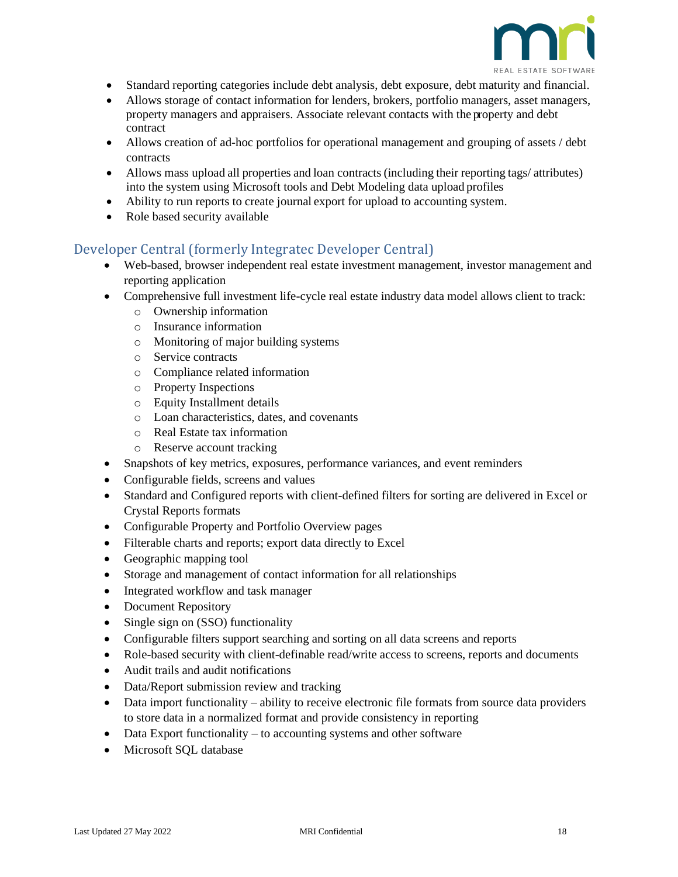![](_page_17_Picture_0.jpeg)

- Standard reporting categories include debt analysis, debt exposure, debt maturity and financial.
- Allows storage of contact information for lenders, brokers, portfolio managers, asset managers, property managers and appraisers. Associate relevant contacts with the property and debt contract
- Allows creation of ad-hoc portfolios for operational management and grouping of assets / debt contracts
- Allows mass upload all properties and loan contracts (including their reporting tags/ attributes) into the system using Microsoft tools and Debt Modeling data upload profiles
- Ability to run reports to create journal export for upload to accounting system.
- Role based security available

### <span id="page-17-0"></span>Developer Central (formerly Integratec Developer Central)

- Web-based, browser independent real estate investment management, investor management and reporting application
- Comprehensive full investment life-cycle real estate industry data model allows client to track:
	- o Ownership information
	- o Insurance information
	- o Monitoring of major building systems
	- o Service contracts
	- o Compliance related information
	- o Property Inspections
	- o Equity Installment details
	- o Loan characteristics, dates, and covenants
	- o Real Estate tax information
	- o Reserve account tracking
- Snapshots of key metrics, exposures, performance variances, and event reminders
- Configurable fields, screens and values
- Standard and Configured reports with client-defined filters for sorting are delivered in Excel or Crystal Reports formats
- Configurable Property and Portfolio Overview pages
- Filterable charts and reports; export data directly to Excel
- Geographic mapping tool
- Storage and management of contact information for all relationships
- Integrated workflow and task manager
- Document Repository
- Single sign on (SSO) functionality
- Configurable filters support searching and sorting on all data screens and reports
- Role-based security with client-definable read/write access to screens, reports and documents
- Audit trails and audit notifications
- Data/Report submission review and tracking
- Data import functionality ability to receive electronic file formats from source data providers to store data in a normalized format and provide consistency in reporting
- Data Export functionality to accounting systems and other software
- Microsoft SQL database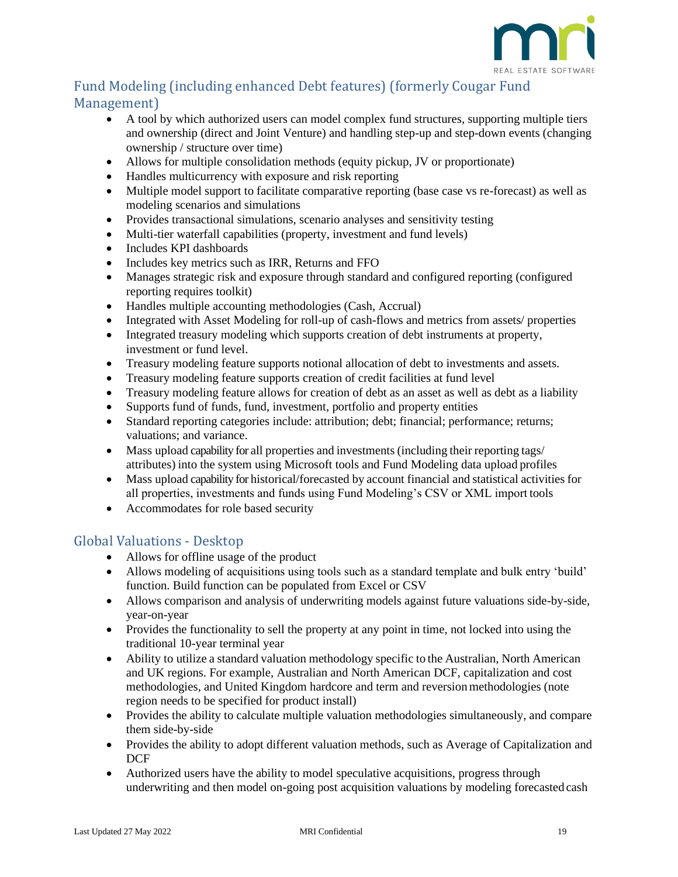![](_page_18_Picture_0.jpeg)

# <span id="page-18-0"></span>Fund Modeling (including enhanced Debt features) (formerly Cougar Fund Management)

- A tool by which authorized users can model complex fund structures, supporting multiple tiers and ownership (direct and Joint Venture) and handling step-up and step-down events (changing ownership / structure over time)
- Allows for multiple consolidation methods (equity pickup, JV or proportionate)
- Handles multicurrency with exposure and risk reporting
- Multiple model support to facilitate comparative reporting (base case vs re-forecast) as well as modeling scenarios and simulations
- Provides transactional simulations, scenario analyses and sensitivity testing
- Multi-tier waterfall capabilities (property, investment and fund levels)
- Includes KPI dashboards
- Includes key metrics such as IRR, Returns and FFO
- Manages strategic risk and exposure through standard and configured reporting (configured reporting requires toolkit)
- Handles multiple accounting methodologies (Cash, Accrual)
- Integrated with Asset Modeling for roll-up of cash-flows and metrics from assets/ properties
- Integrated treasury modeling which supports creation of debt instruments at property, investment or fund level.
- Treasury modeling feature supports notional allocation of debt to investments and assets.
- Treasury modeling feature supports creation of credit facilities at fund level
- Treasury modeling feature allows for creation of debt as an asset as well as debt as a liability
- Supports fund of funds, fund, investment, portfolio and property entities
- Standard reporting categories include: attribution; debt; financial; performance; returns; valuations; and variance.
- Mass upload capability for all properties and investments (including their reporting tags/ attributes) into the system using Microsoft tools and Fund Modeling data upload profiles
- Mass upload capability for historical/forecasted by account financial and statistical activities for all properties, investments and funds using Fund Modeling's CSV or XML import tools
- Accommodates for role based security

## <span id="page-18-1"></span>Global Valuations - Desktop

- Allows for offline usage of the product
- Allows modeling of acquisitions using tools such as a standard template and bulk entry 'build' function. Build function can be populated from Excel or CSV
- Allows comparison and analysis of underwriting models against future valuations side-by-side, year-on-year
- Provides the functionality to sell the property at any point in time, not locked into using the traditional 10-year terminal year
- Ability to utilize a standard valuation methodology specific to the Australian, North American and UK regions. For example, Australian and North American DCF, capitalization and cost methodologies, and United Kingdom hardcore and term and reversionmethodologies (note region needs to be specified for product install)
- Provides the ability to calculate multiple valuation methodologies simultaneously, and compare them side-by-side
- Provides the ability to adopt different valuation methods, such as Average of Capitalization and D<sub>CF</sub>
- Authorized users have the ability to model speculative acquisitions, progress through underwriting and then model on-going post acquisition valuations by modeling forecasted cash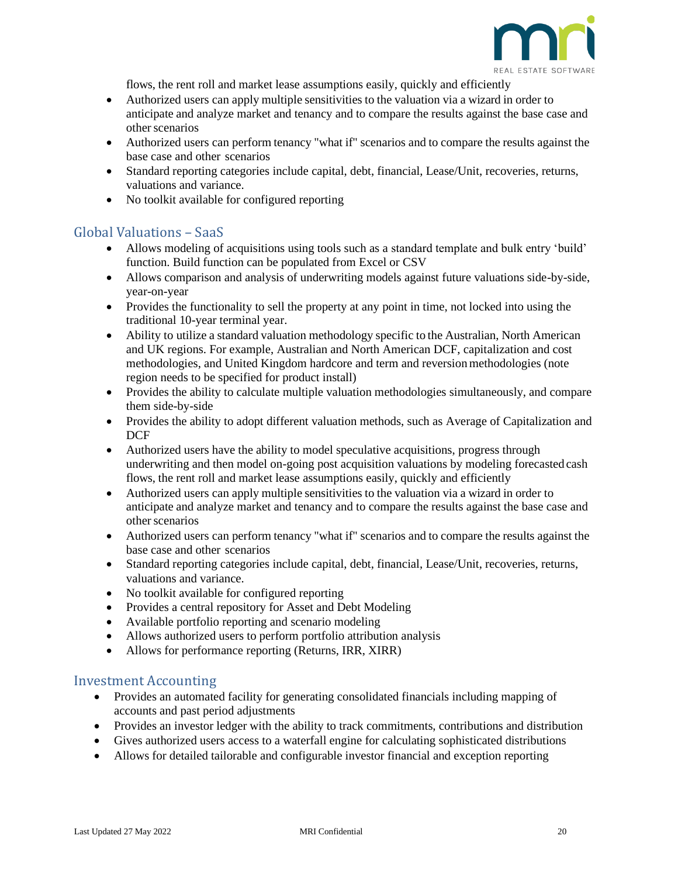![](_page_19_Picture_0.jpeg)

flows, the rent roll and market lease assumptions easily, quickly and efficiently

- Authorized users can apply multiple sensitivities to the valuation via a wizard in order to anticipate and analyze market and tenancy and to compare the results against the base case and other scenarios
- Authorized users can perform tenancy "what if" scenarios and to compare the results against the base case and other scenarios
- Standard reporting categories include capital, debt, financial, Lease/Unit, recoveries, returns, valuations and variance.
- No toolkit available for configured reporting

#### <span id="page-19-0"></span>Global Valuations – SaaS

- Allows modeling of acquisitions using tools such as a standard template and bulk entry 'build' function. Build function can be populated from Excel or CSV
- Allows comparison and analysis of underwriting models against future valuations side-by-side, year-on-year
- Provides the functionality to sell the property at any point in time, not locked into using the traditional 10-year terminal year.
- Ability to utilize a standard valuation methodology specific to the Australian, North American and UK regions. For example, Australian and North American DCF, capitalization and cost methodologies, and United Kingdom hardcore and term and reversionmethodologies (note region needs to be specified for product install)
- Provides the ability to calculate multiple valuation methodologies simultaneously, and compare them side-by-side
- Provides the ability to adopt different valuation methods, such as Average of Capitalization and DCF
- Authorized users have the ability to model speculative acquisitions, progress through underwriting and then model on-going post acquisition valuations by modeling forecasted cash flows, the rent roll and market lease assumptions easily, quickly and efficiently
- Authorized users can apply multiple sensitivities to the valuation via a wizard in order to anticipate and analyze market and tenancy and to compare the results against the base case and other scenarios
- Authorized users can perform tenancy "what if" scenarios and to compare the results against the base case and other scenarios
- Standard reporting categories include capital, debt, financial, Lease/Unit, recoveries, returns, valuations and variance.
- No toolkit available for configured reporting
- Provides a central repository for Asset and Debt Modeling
- Available portfolio reporting and scenario modeling
- Allows authorized users to perform portfolio attribution analysis
- Allows for performance reporting (Returns, IRR, XIRR)

#### <span id="page-19-1"></span>Investment Accounting

- Provides an automated facility for generating consolidated financials including mapping of accounts and past period adjustments
- Provides an investor ledger with the ability to track commitments, contributions and distribution
- Gives authorized users access to a waterfall engine for calculating sophisticated distributions
- Allows for detailed tailorable and configurable investor financial and exception reporting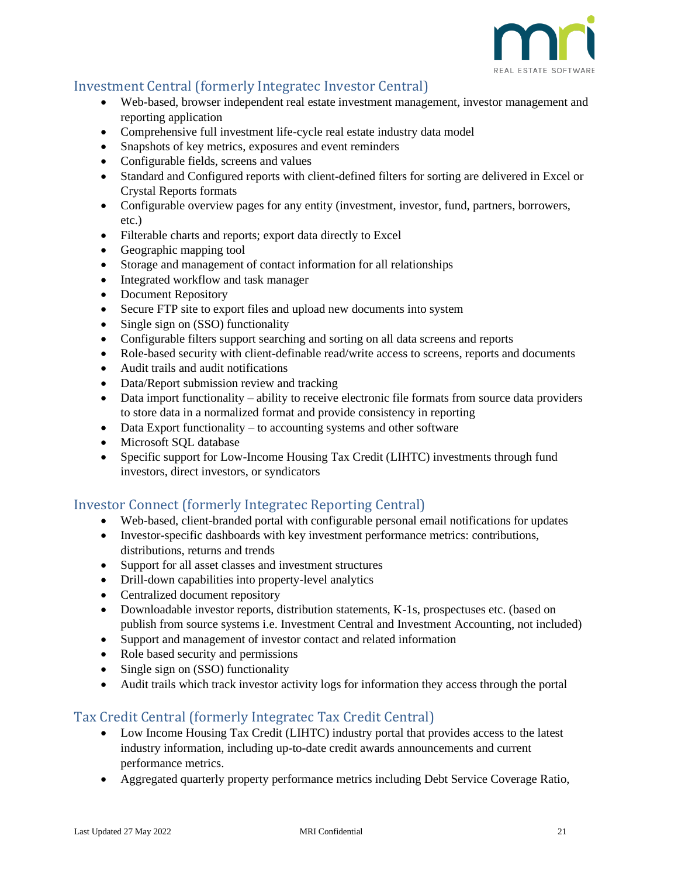![](_page_20_Picture_0.jpeg)

## <span id="page-20-0"></span>Investment Central (formerly Integratec Investor Central)

- Web-based, browser independent real estate investment management, investor management and reporting application
- Comprehensive full investment life-cycle real estate industry data model
- Snapshots of key metrics, exposures and event reminders
- Configurable fields, screens and values
- Standard and Configured reports with client-defined filters for sorting are delivered in Excel or Crystal Reports formats
- Configurable overview pages for any entity (investment, investor, fund, partners, borrowers, etc.)
- Filterable charts and reports; export data directly to Excel
- Geographic mapping tool
- Storage and management of contact information for all relationships
- Integrated workflow and task manager
- Document Repository
- Secure FTP site to export files and upload new documents into system
- Single sign on (SSO) functionality
- Configurable filters support searching and sorting on all data screens and reports
- Role-based security with client-definable read/write access to screens, reports and documents
- Audit trails and audit notifications
- Data/Report submission review and tracking
- Data import functionality ability to receive electronic file formats from source data providers to store data in a normalized format and provide consistency in reporting
- Data Export functionality to accounting systems and other software
- Microsoft SOL database
- Specific support for Low-Income Housing Tax Credit (LIHTC) investments through fund investors, direct investors, or syndicators

## <span id="page-20-1"></span>Investor Connect (formerly Integratec Reporting Central)

- Web-based, client-branded portal with configurable personal email notifications for updates
- Investor-specific dashboards with key investment performance metrics: contributions, distributions, returns and trends
- Support for all asset classes and investment structures
- Drill-down capabilities into property-level analytics
- Centralized document repository
- Downloadable investor reports, distribution statements, K-1s, prospectuses etc. (based on publish from source systems i.e. Investment Central and Investment Accounting, not included)
- Support and management of investor contact and related information
- Role based security and permissions
- Single sign on (SSO) functionality
- Audit trails which track investor activity logs for information they access through the portal

## <span id="page-20-2"></span>Tax Credit Central (formerly Integratec Tax Credit Central)

- Low Income Housing Tax Credit (LIHTC) industry portal that provides access to the latest industry information, including up-to-date credit awards announcements and current performance metrics.
- Aggregated quarterly property performance metrics including Debt Service Coverage Ratio,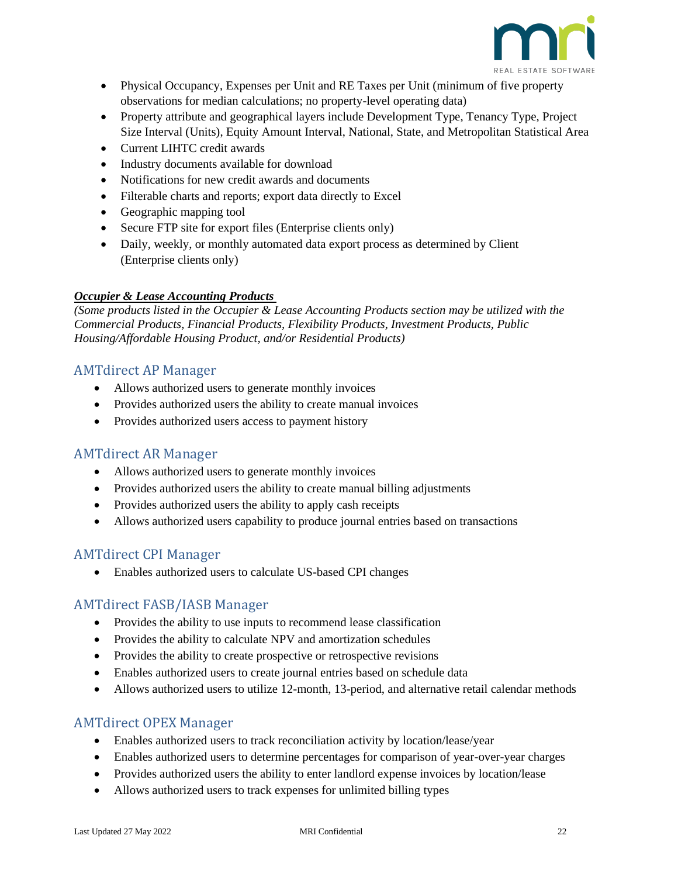![](_page_21_Picture_0.jpeg)

- Physical Occupancy, Expenses per Unit and RE Taxes per Unit (minimum of five property observations for median calculations; no property-level operating data)
- Property attribute and geographical layers include Development Type, Tenancy Type, Project Size Interval (Units), Equity Amount Interval, National, State, and Metropolitan Statistical Area
- Current LIHTC credit awards
- Industry documents available for download
- Notifications for new credit awards and documents
- Filterable charts and reports; export data directly to Excel
- Geographic mapping tool
- Secure FTP site for export files (Enterprise clients only)
- Daily, weekly, or monthly automated data export process as determined by Client (Enterprise clients only)

#### <span id="page-21-0"></span>*Occupier & Lease Accounting Products*

*(Some products listed in the Occupier & Lease Accounting Products section may be utilized with the Commercial Products, Financial Products, Flexibility Products, Investment Products, Public Housing/Affordable Housing Product, and/or Residential Products)*

### <span id="page-21-1"></span>AMTdirect AP Manager

- Allows authorized users to generate monthly invoices
- Provides authorized users the ability to create manual invoices
- Provides authorized users access to payment history

### <span id="page-21-2"></span>AMTdirect AR Manager

- Allows authorized users to generate monthly invoices
- Provides authorized users the ability to create manual billing adjustments
- Provides authorized users the ability to apply cash receipts
- Allows authorized users capability to produce journal entries based on transactions

### <span id="page-21-3"></span>AMTdirect CPI Manager

• Enables authorized users to calculate US-based CPI changes

#### <span id="page-21-4"></span>AMTdirect FASB/IASB Manager

- Provides the ability to use inputs to recommend lease classification
- Provides the ability to calculate NPV and amortization schedules
- Provides the ability to create prospective or retrospective revisions
- Enables authorized users to create journal entries based on schedule data
- Allows authorized users to utilize 12-month, 13-period, and alternative retail calendar methods

### <span id="page-21-5"></span>AMTdirect OPEX Manager

- Enables authorized users to track reconciliation activity by location/lease/year
- Enables authorized users to determine percentages for comparison of year-over-year charges
- Provides authorized users the ability to enter landlord expense invoices by location/lease
- Allows authorized users to track expenses for unlimited billing types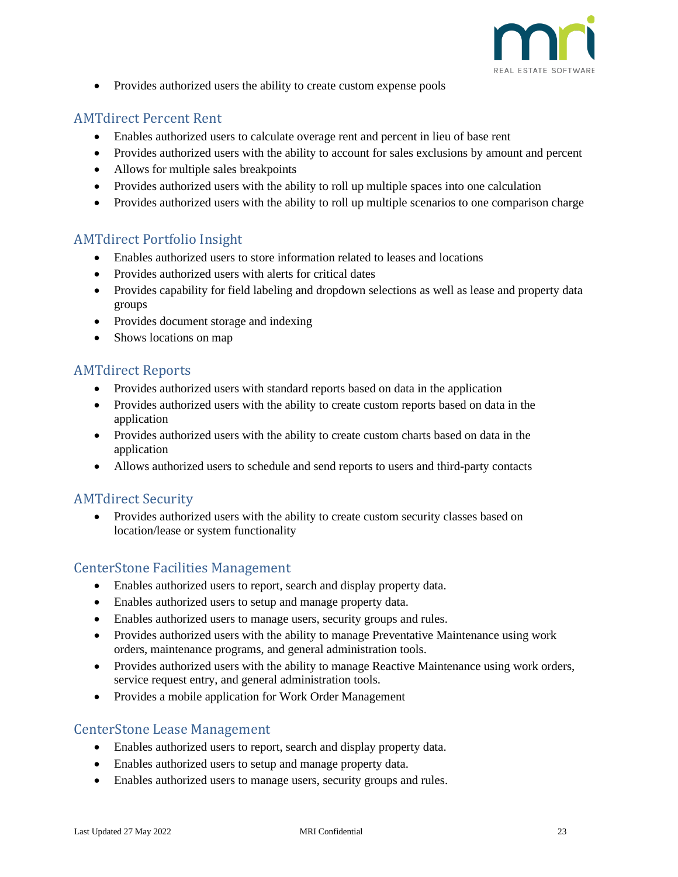![](_page_22_Picture_0.jpeg)

• Provides authorized users the ability to create custom expense pools

## <span id="page-22-0"></span>AMTdirect Percent Rent

- Enables authorized users to calculate overage rent and percent in lieu of base rent
- Provides authorized users with the ability to account for sales exclusions by amount and percent
- Allows for multiple sales breakpoints
- Provides authorized users with the ability to roll up multiple spaces into one calculation
- Provides authorized users with the ability to roll up multiple scenarios to one comparison charge

## <span id="page-22-1"></span>AMTdirect Portfolio Insight

- Enables authorized users to store information related to leases and locations
- Provides authorized users with alerts for critical dates
- Provides capability for field labeling and dropdown selections as well as lease and property data groups
- Provides document storage and indexing
- Shows locations on map

## <span id="page-22-2"></span>AMTdirect Reports

- Provides authorized users with standard reports based on data in the application
- Provides authorized users with the ability to create custom reports based on data in the application
- Provides authorized users with the ability to create custom charts based on data in the application
- Allows authorized users to schedule and send reports to users and third-party contacts

### <span id="page-22-3"></span>AMTdirect Security

• Provides authorized users with the ability to create custom security classes based on location/lease or system functionality

### <span id="page-22-4"></span>CenterStone Facilities Management

- Enables authorized users to report, search and display property data.
- Enables authorized users to setup and manage property data.
- Enables authorized users to manage users, security groups and rules.
- Provides authorized users with the ability to manage Preventative Maintenance using work orders, maintenance programs, and general administration tools.
- Provides authorized users with the ability to manage Reactive Maintenance using work orders, service request entry, and general administration tools.
- Provides a mobile application for Work Order Management

### <span id="page-22-5"></span>CenterStone Lease Management

- Enables authorized users to report, search and display property data.
- Enables authorized users to setup and manage property data.
- Enables authorized users to manage users, security groups and rules.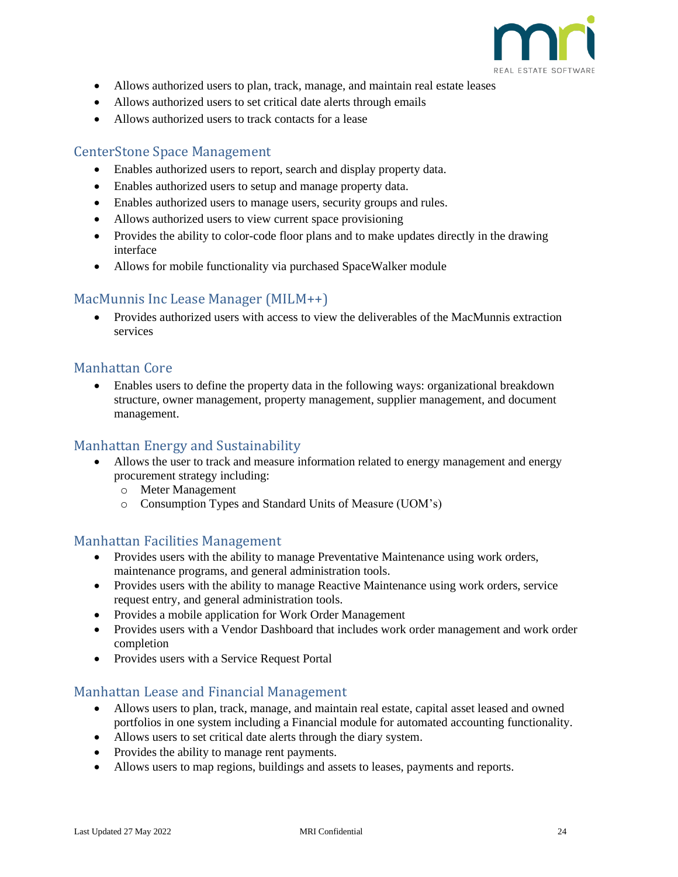![](_page_23_Picture_0.jpeg)

- Allows authorized users to plan, track, manage, and maintain real estate leases
- Allows authorized users to set critical date alerts through emails
- Allows authorized users to track contacts for a lease

## <span id="page-23-0"></span>CenterStone Space Management

- Enables authorized users to report, search and display property data.
- Enables authorized users to setup and manage property data.
- Enables authorized users to manage users, security groups and rules.
- Allows authorized users to view current space provisioning
- Provides the ability to color-code floor plans and to make updates directly in the drawing interface
- Allows for mobile functionality via purchased SpaceWalker module

### <span id="page-23-1"></span>MacMunnis Inc Lease Manager (MILM++)

• Provides authorized users with access to view the deliverables of the MacMunnis extraction services

### <span id="page-23-2"></span>Manhattan Core

• Enables users to define the property data in the following ways: organizational breakdown structure, owner management, property management, supplier management, and document management.

### <span id="page-23-3"></span>Manhattan Energy and Sustainability

- Allows the user to track and measure information related to energy management and energy procurement strategy including:
	- o Meter Management
	- o Consumption Types and Standard Units of Measure (UOM's)

### <span id="page-23-4"></span>Manhattan Facilities Management

- Provides users with the ability to manage Preventative Maintenance using work orders, maintenance programs, and general administration tools.
- Provides users with the ability to manage Reactive Maintenance using work orders, service request entry, and general administration tools.
- Provides a mobile application for Work Order Management
- Provides users with a Vendor Dashboard that includes work order management and work order completion
- Provides users with a Service Request Portal

#### <span id="page-23-5"></span>Manhattan Lease and Financial Management

- Allows users to plan, track, manage, and maintain real estate, capital asset leased and owned portfolios in one system including a Financial module for automated accounting functionality.
- Allows users to set critical date alerts through the diary system.
- Provides the ability to manage rent payments.
- Allows users to map regions, buildings and assets to leases, payments and reports.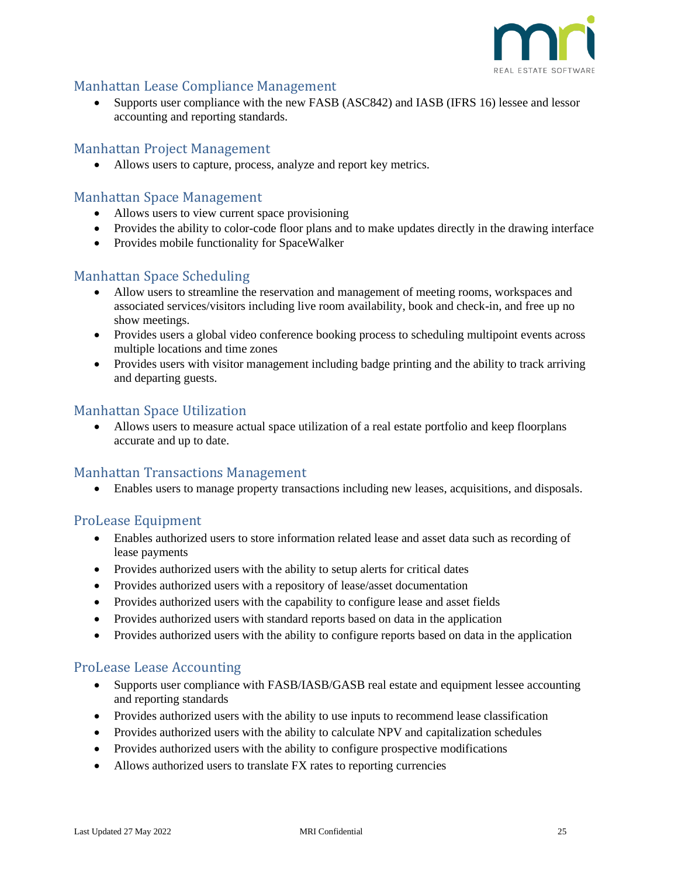![](_page_24_Picture_0.jpeg)

### <span id="page-24-0"></span>Manhattan Lease Compliance Management

• Supports user compliance with the new FASB (ASC842) and IASB (IFRS 16) lessee and lessor accounting and reporting standards.

#### <span id="page-24-1"></span>Manhattan Project Management

• Allows users to capture, process, analyze and report key metrics.

#### <span id="page-24-2"></span>Manhattan Space Management

- Allows users to view current space provisioning
- Provides the ability to color-code floor plans and to make updates directly in the drawing interface
- Provides mobile functionality for SpaceWalker

#### <span id="page-24-3"></span>Manhattan Space Scheduling

- Allow users to streamline the reservation and management of meeting rooms, workspaces and associated services/visitors including live room availability, book and check-in, and free up no show meetings.
- Provides users a global video conference booking process to scheduling multipoint events across multiple locations and time zones
- Provides users with visitor management including badge printing and the ability to track arriving and departing guests.

### <span id="page-24-4"></span>Manhattan Space Utilization

• Allows users to measure actual space utilization of a real estate portfolio and keep floorplans accurate and up to date.

#### <span id="page-24-5"></span>Manhattan Transactions Management

• Enables users to manage property transactions including new leases, acquisitions, and disposals.

### <span id="page-24-6"></span>ProLease Equipment

- Enables authorized users to store information related lease and asset data such as recording of lease payments
- Provides authorized users with the ability to setup alerts for critical dates
- Provides authorized users with a repository of lease/asset documentation
- Provides authorized users with the capability to configure lease and asset fields
- Provides authorized users with standard reports based on data in the application
- Provides authorized users with the ability to configure reports based on data in the application

### <span id="page-24-7"></span>ProLease Lease Accounting

- Supports user compliance with FASB/IASB/GASB real estate and equipment lessee accounting and reporting standards
- Provides authorized users with the ability to use inputs to recommend lease classification
- Provides authorized users with the ability to calculate NPV and capitalization schedules
- Provides authorized users with the ability to configure prospective modifications
- Allows authorized users to translate FX rates to reporting currencies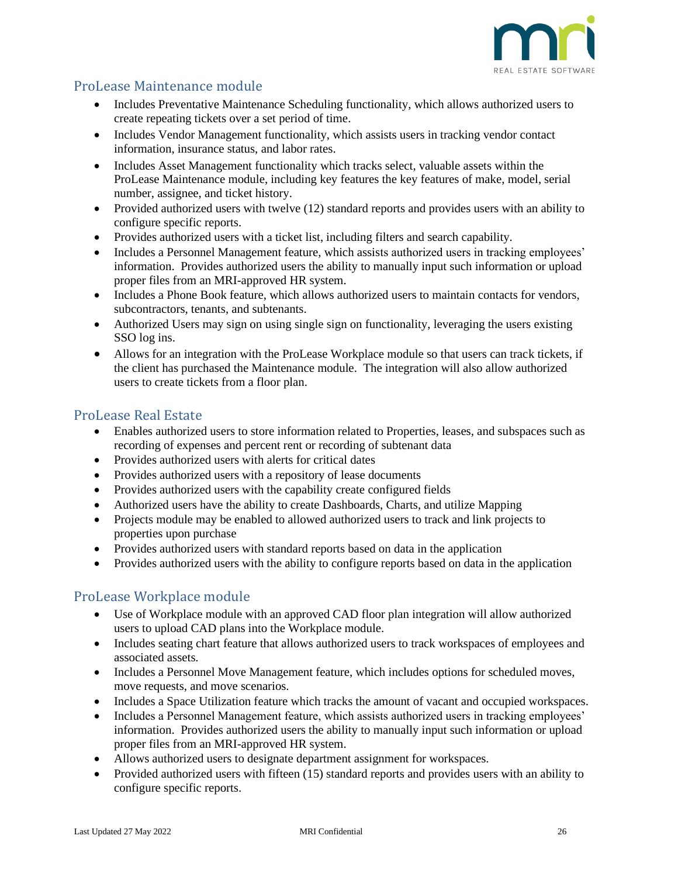![](_page_25_Picture_0.jpeg)

## <span id="page-25-0"></span>ProLease Maintenance module

- Includes Preventative Maintenance Scheduling functionality, which allows authorized users to create repeating tickets over a set period of time.
- Includes Vendor Management functionality, which assists users in tracking vendor contact information, insurance status, and labor rates.
- Includes Asset Management functionality which tracks select, valuable assets within the ProLease Maintenance module, including key features the key features of make, model, serial number, assignee, and ticket history.
- Provided authorized users with twelve (12) standard reports and provides users with an ability to configure specific reports.
- Provides authorized users with a ticket list, including filters and search capability.
- Includes a Personnel Management feature, which assists authorized users in tracking employees' information. Provides authorized users the ability to manually input such information or upload proper files from an MRI-approved HR system.
- Includes a Phone Book feature, which allows authorized users to maintain contacts for vendors, subcontractors, tenants, and subtenants.
- Authorized Users may sign on using single sign on functionality, leveraging the users existing SSO log ins.
- Allows for an integration with the ProLease Workplace module so that users can track tickets, if the client has purchased the Maintenance module. The integration will also allow authorized users to create tickets from a floor plan.

## <span id="page-25-1"></span>ProLease Real Estate

- Enables authorized users to store information related to Properties, leases, and subspaces such as recording of expenses and percent rent or recording of subtenant data
- Provides authorized users with alerts for critical dates
- Provides authorized users with a repository of lease documents
- Provides authorized users with the capability create configured fields
- Authorized users have the ability to create Dashboards, Charts, and utilize Mapping
- Projects module may be enabled to allowed authorized users to track and link projects to properties upon purchase
- Provides authorized users with standard reports based on data in the application
- Provides authorized users with the ability to configure reports based on data in the application

## <span id="page-25-2"></span>ProLease Workplace module

- Use of Workplace module with an approved CAD floor plan integration will allow authorized users to upload CAD plans into the Workplace module.
- Includes seating chart feature that allows authorized users to track workspaces of employees and associated assets.
- Includes a Personnel Move Management feature, which includes options for scheduled moves, move requests, and move scenarios.
- Includes a Space Utilization feature which tracks the amount of vacant and occupied workspaces.
- Includes a Personnel Management feature, which assists authorized users in tracking employees' information. Provides authorized users the ability to manually input such information or upload proper files from an MRI-approved HR system.
- Allows authorized users to designate department assignment for workspaces.
- Provided authorized users with fifteen (15) standard reports and provides users with an ability to configure specific reports.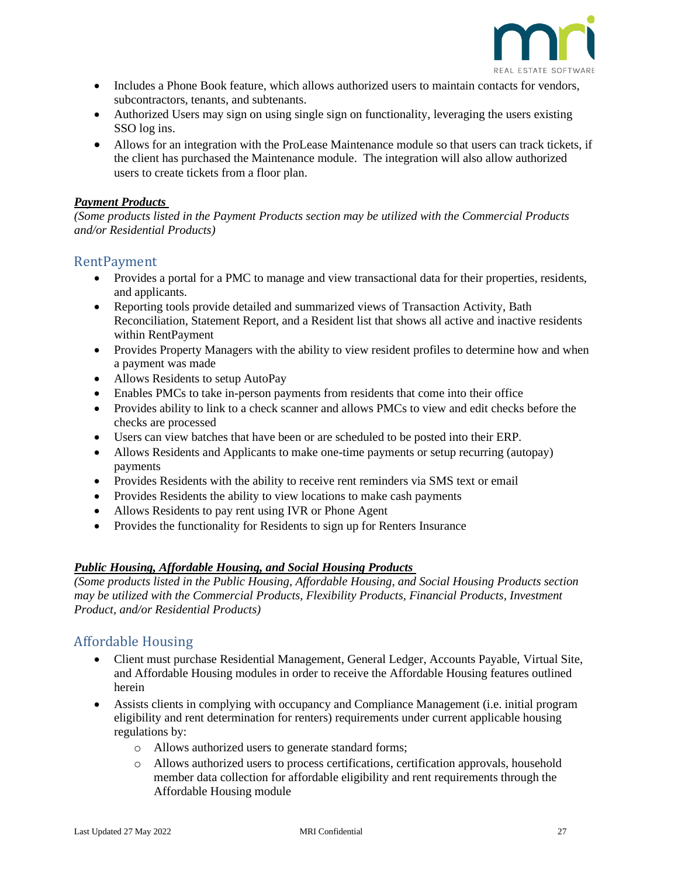![](_page_26_Picture_0.jpeg)

- Includes a Phone Book feature, which allows authorized users to maintain contacts for vendors, subcontractors, tenants, and subtenants.
- Authorized Users may sign on using single sign on functionality, leveraging the users existing SSO log ins.
- Allows for an integration with the ProLease Maintenance module so that users can track tickets, if the client has purchased the Maintenance module. The integration will also allow authorized users to create tickets from a floor plan.

#### <span id="page-26-0"></span>*Payment Products*

*(Some products listed in the Payment Products section may be utilized with the Commercial Products and/or Residential Products)*

#### <span id="page-26-1"></span>RentPayment

- Provides a portal for a PMC to manage and view transactional data for their properties, residents, and applicants.
- Reporting tools provide detailed and summarized views of Transaction Activity, Bath Reconciliation, Statement Report, and a Resident list that shows all active and inactive residents within RentPayment
- Provides Property Managers with the ability to view resident profiles to determine how and when a payment was made
- Allows Residents to setup AutoPay
- Enables PMCs to take in-person payments from residents that come into their office
- Provides ability to link to a check scanner and allows PMCs to view and edit checks before the checks are processed
- Users can view batches that have been or are scheduled to be posted into their ERP.
- Allows Residents and Applicants to make one-time payments or setup recurring (autopay) payments
- Provides Residents with the ability to receive rent reminders via SMS text or email
- Provides Residents the ability to view locations to make cash payments
- Allows Residents to pay rent using IVR or Phone Agent
- Provides the functionality for Residents to sign up for Renters Insurance

#### <span id="page-26-2"></span>*Public Housing, Affordable Housing, and Social Housing Products*

*(Some products listed in the Public Housing, Affordable Housing, and Social Housing Products section may be utilized with the Commercial Products, Flexibility Products, Financial Products, Investment Product, and/or Residential Products)*

### <span id="page-26-3"></span>Affordable Housing

- Client must purchase Residential Management, General Ledger, Accounts Payable, Virtual Site, and Affordable Housing modules in order to receive the Affordable Housing features outlined herein
- Assists clients in complying with occupancy and Compliance Management (i.e. initial program eligibility and rent determination for renters) requirements under current applicable housing regulations by:
	- o Allows authorized users to generate standard forms;
	- o Allows authorized users to process certifications, certification approvals, household member data collection for affordable eligibility and rent requirements through the Affordable Housing module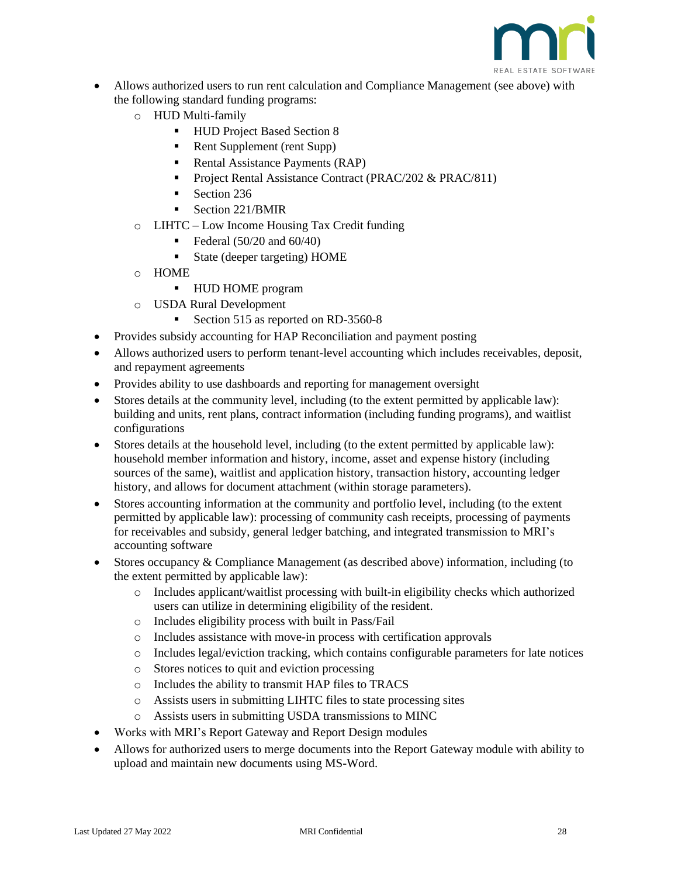![](_page_27_Picture_0.jpeg)

- Allows authorized users to run rent calculation and Compliance Management (see above) with the following standard funding programs:
	- o HUD Multi-family
		- HUD Project Based Section 8
		- Rent Supplement (rent Supp)
		- Rental Assistance Payments (RAP)
		- Project Rental Assistance Contract (PRAC/202 & PRAC/811)
		- Section 236
		- Section 221/BMIR
	- o LIHTC Low Income Housing Tax Credit funding
		- $\blacktriangleright$  Federal (50/20 and 60/40)
		- State (deeper targeting) HOME
	- o HOME
		- HUD HOME program
	- o USDA Rural Development
		- Section 515 as reported on RD-3560-8
- Provides subsidy accounting for HAP Reconciliation and payment posting
- Allows authorized users to perform tenant-level accounting which includes receivables, deposit, and repayment agreements
- Provides ability to use dashboards and reporting for management oversight
- Stores details at the community level, including (to the extent permitted by applicable law): building and units, rent plans, contract information (including funding programs), and waitlist configurations
- Stores details at the household level, including (to the extent permitted by applicable law): household member information and history, income, asset and expense history (including sources of the same), waitlist and application history, transaction history, accounting ledger history, and allows for document attachment (within storage parameters).
- Stores accounting information at the community and portfolio level, including (to the extent permitted by applicable law): processing of community cash receipts, processing of payments for receivables and subsidy, general ledger batching, and integrated transmission to MRI's accounting software
- Stores occupancy & Compliance Management (as described above) information, including (to the extent permitted by applicable law):
	- o Includes applicant/waitlist processing with built-in eligibility checks which authorized users can utilize in determining eligibility of the resident.
	- o Includes eligibility process with built in Pass/Fail
	- o Includes assistance with move-in process with certification approvals
	- $\circ$  Includes legal/eviction tracking, which contains configurable parameters for late notices
	- o Stores notices to quit and eviction processing
	- o Includes the ability to transmit HAP files to TRACS
	- o Assists users in submitting LIHTC files to state processing sites
	- o Assists users in submitting USDA transmissions to MINC
- Works with MRI's Report Gateway and Report Design modules
- Allows for authorized users to merge documents into the Report Gateway module with ability to upload and maintain new documents using MS-Word.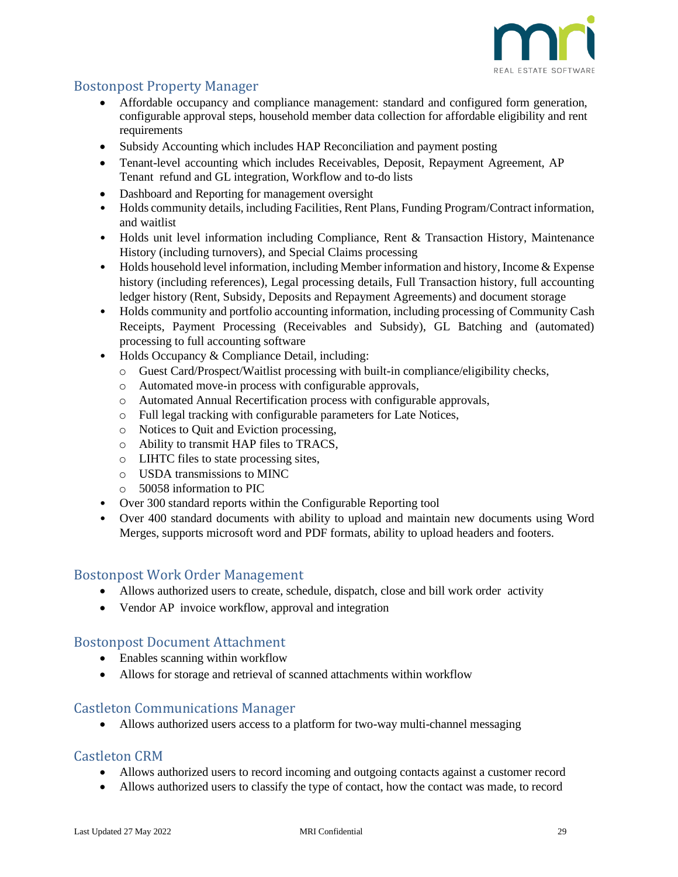![](_page_28_Picture_0.jpeg)

## <span id="page-28-0"></span>Bostonpost Property Manager

- Affordable occupancy and compliance management: standard and configured form generation, configurable approval steps, household member data collection for affordable eligibility and rent requirements
- Subsidy Accounting which includes HAP Reconciliation and payment posting
- Tenant-level accounting which includes Receivables, Deposit, Repayment Agreement, AP Tenant refund and GL integration, Workflow and to-do lists
- Dashboard and Reporting for management oversight
- Holds community details, including Facilities, Rent Plans, Funding Program/Contract information, and waitlist
- Holds unit level information including Compliance, Rent & Transaction History, Maintenance History (including turnovers), and Special Claims processing
- Holds household level information, including Member information and history, Income & Expense history (including references), Legal processing details, Full Transaction history, full accounting ledger history (Rent, Subsidy, Deposits and Repayment Agreements) and document storage
- Holds community and portfolio accounting information, including processing of Community Cash Receipts, Payment Processing (Receivables and Subsidy), GL Batching and (automated) processing to full accounting software
- Holds Occupancy & Compliance Detail, including:
	- o Guest Card/Prospect/Waitlist processing with built-in compliance/eligibility checks,
	- o Automated move-in process with configurable approvals,
	- o Automated Annual Recertification process with configurable approvals,
	- o Full legal tracking with configurable parameters for Late Notices,
	- o Notices to Quit and Eviction processing,
	- o Ability to transmit HAP files to TRACS,
	- o LIHTC files to state processing sites,
	- o USDA transmissions to MINC
	- o 50058 information to PIC
- Over 300 standard reports within the Configurable Reporting tool
- Over 400 standard documents with ability to upload and maintain new documents using Word Merges, supports microsoft word and PDF formats, ability to upload headers and footers.

#### <span id="page-28-1"></span>Bostonpost Work Order Management

- Allows authorized users to create, schedule, dispatch, close and bill work order activity
- Vendor AP invoice workflow, approval and integration

#### <span id="page-28-2"></span>Bostonpost Document Attachment

- Enables scanning within workflow
- Allows for storage and retrieval of scanned attachments within workflow

#### <span id="page-28-3"></span>Castleton Communications Manager

• Allows authorized users access to a platform for two-way multi-channel messaging

#### <span id="page-28-4"></span>Castleton CRM

- Allows authorized users to record incoming and outgoing contacts against a customer record
- Allows authorized users to classify the type of contact, how the contact was made, to record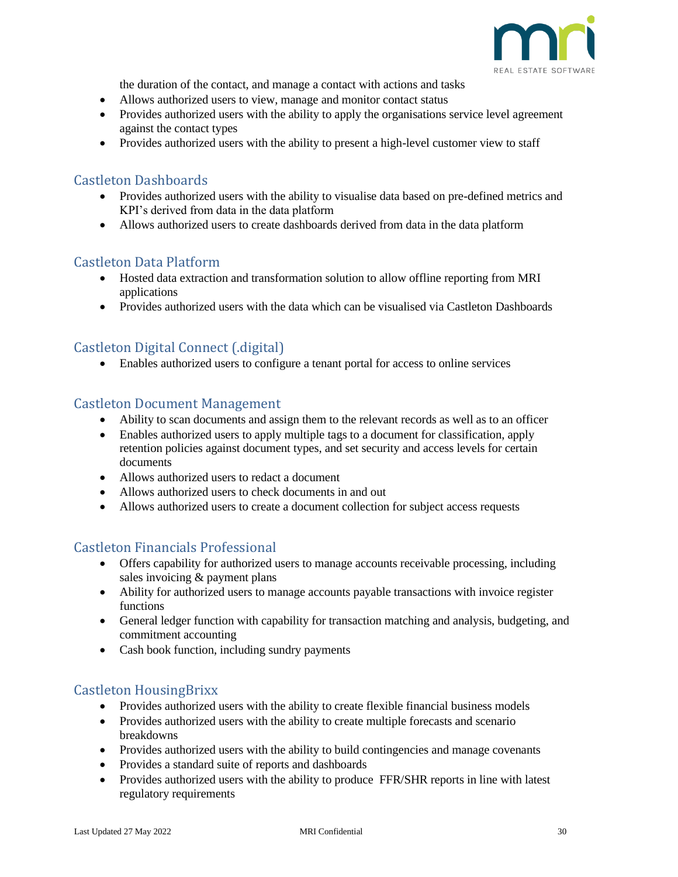![](_page_29_Picture_0.jpeg)

the duration of the contact, and manage a contact with actions and tasks

- Allows authorized users to view, manage and monitor contact status
- Provides authorized users with the ability to apply the organisations service level agreement against the contact types
- Provides authorized users with the ability to present a high-level customer view to staff

#### <span id="page-29-0"></span>Castleton Dashboards

- Provides authorized users with the ability to visualise data based on pre-defined metrics and KPI's derived from data in the data platform
- Allows authorized users to create dashboards derived from data in the data platform

#### <span id="page-29-1"></span>Castleton Data Platform

- Hosted data extraction and transformation solution to allow offline reporting from MRI applications
- Provides authorized users with the data which can be visualised via Castleton Dashboards

## <span id="page-29-2"></span>Castleton Digital Connect (.digital)

• Enables authorized users to configure a tenant portal for access to online services

#### <span id="page-29-3"></span>Castleton Document Management

- Ability to scan documents and assign them to the relevant records as well as to an officer
- Enables authorized users to apply multiple tags to a document for classification, apply retention policies against document types, and set security and access levels for certain documents
- Allows authorized users to redact a document
- Allows authorized users to check documents in and out
- Allows authorized users to create a document collection for subject access requests

### <span id="page-29-4"></span>Castleton Financials Professional

- Offers capability for authorized users to manage accounts receivable processing, including sales invoicing & payment plans
- Ability for authorized users to manage accounts payable transactions with invoice register functions
- General ledger function with capability for transaction matching and analysis, budgeting, and commitment accounting
- Cash book function, including sundry payments

### <span id="page-29-5"></span>Castleton HousingBrixx

- Provides authorized users with the ability to create flexible financial business models
- Provides authorized users with the ability to create multiple forecasts and scenario breakdowns
- Provides authorized users with the ability to build contingencies and manage covenants
- Provides a standard suite of reports and dashboards
- Provides authorized users with the ability to produce FFR/SHR reports in line with latest regulatory requirements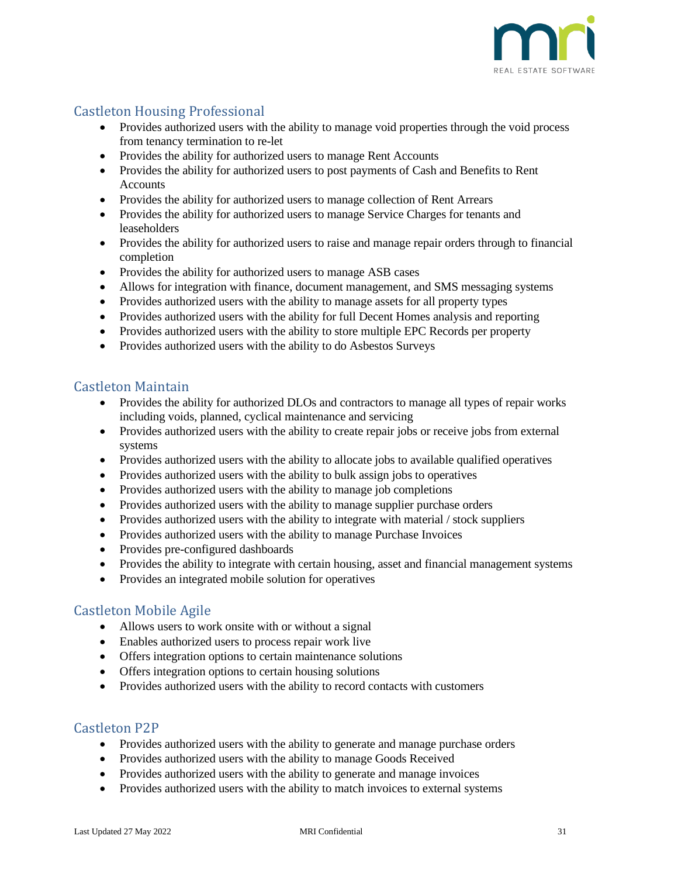![](_page_30_Picture_0.jpeg)

## <span id="page-30-0"></span>Castleton Housing Professional

- Provides authorized users with the ability to manage void properties through the void process from tenancy termination to re-let
- Provides the ability for authorized users to manage Rent Accounts
- Provides the ability for authorized users to post payments of Cash and Benefits to Rent Accounts
- Provides the ability for authorized users to manage collection of Rent Arrears
- Provides the ability for authorized users to manage Service Charges for tenants and leaseholders
- Provides the ability for authorized users to raise and manage repair orders through to financial completion
- Provides the ability for authorized users to manage ASB cases
- Allows for integration with finance, document management, and SMS messaging systems
- Provides authorized users with the ability to manage assets for all property types
- Provides authorized users with the ability for full Decent Homes analysis and reporting
- Provides authorized users with the ability to store multiple EPC Records per property
- Provides authorized users with the ability to do Asbestos Surveys

#### <span id="page-30-1"></span>Castleton Maintain

- Provides the ability for authorized DLOs and contractors to manage all types of repair works including voids, planned, cyclical maintenance and servicing
- Provides authorized users with the ability to create repair jobs or receive jobs from external systems
- Provides authorized users with the ability to allocate jobs to available qualified operatives
- Provides authorized users with the ability to bulk assign jobs to operatives
- Provides authorized users with the ability to manage job completions
- Provides authorized users with the ability to manage supplier purchase orders
- Provides authorized users with the ability to integrate with material / stock suppliers
- Provides authorized users with the ability to manage Purchase Invoices
- Provides pre-configured dashboards
- Provides the ability to integrate with certain housing, asset and financial management systems
- Provides an integrated mobile solution for operatives

### <span id="page-30-2"></span>Castleton Mobile Agile

- Allows users to work onsite with or without a signal
- Enables authorized users to process repair work live
- Offers integration options to certain maintenance solutions
- Offers integration options to certain housing solutions
- Provides authorized users with the ability to record contacts with customers

#### <span id="page-30-3"></span>Castleton P2P

- Provides authorized users with the ability to generate and manage purchase orders
- Provides authorized users with the ability to manage Goods Received
- Provides authorized users with the ability to generate and manage invoices
- Provides authorized users with the ability to match invoices to external systems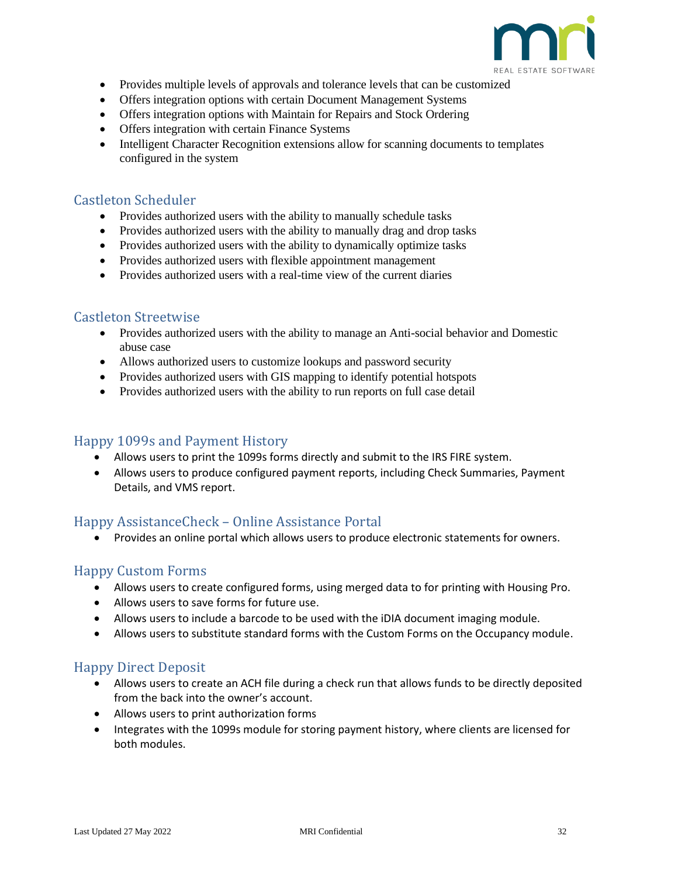![](_page_31_Picture_0.jpeg)

- Provides multiple levels of approvals and tolerance levels that can be customized
- Offers integration options with certain Document Management Systems
- Offers integration options with Maintain for Repairs and Stock Ordering
- Offers integration with certain Finance Systems
- Intelligent Character Recognition extensions allow for scanning documents to templates configured in the system

#### <span id="page-31-0"></span>Castleton Scheduler

- Provides authorized users with the ability to manually schedule tasks
- Provides authorized users with the ability to manually drag and drop tasks
- Provides authorized users with the ability to dynamically optimize tasks
- Provides authorized users with flexible appointment management
- Provides authorized users with a real-time view of the current diaries

#### <span id="page-31-1"></span>Castleton Streetwise

- Provides authorized users with the ability to manage an Anti-social behavior and Domestic abuse case
- Allows authorized users to customize lookups and password security
- Provides authorized users with GIS mapping to identify potential hotspots
- Provides authorized users with the ability to run reports on full case detail

### <span id="page-31-2"></span>Happy 1099s and Payment History

- Allows users to print the 1099s forms directly and submit to the IRS FIRE system.
- Allows users to produce configured payment reports, including Check Summaries, Payment Details, and VMS report.

### <span id="page-31-3"></span>Happy AssistanceCheck – Online Assistance Portal

• Provides an online portal which allows users to produce electronic statements for owners.

### <span id="page-31-4"></span>Happy Custom Forms

- Allows users to create configured forms, using merged data to for printing with Housing Pro.
- Allows users to save forms for future use.
- Allows users to include a barcode to be used with the iDIA document imaging module.
- Allows users to substitute standard forms with the Custom Forms on the Occupancy module.

### <span id="page-31-5"></span>Happy Direct Deposit

- Allows users to create an ACH file during a check run that allows funds to be directly deposited from the back into the owner's account.
- Allows users to print authorization forms
- Integrates with the 1099s module for storing payment history, where clients are licensed for both modules.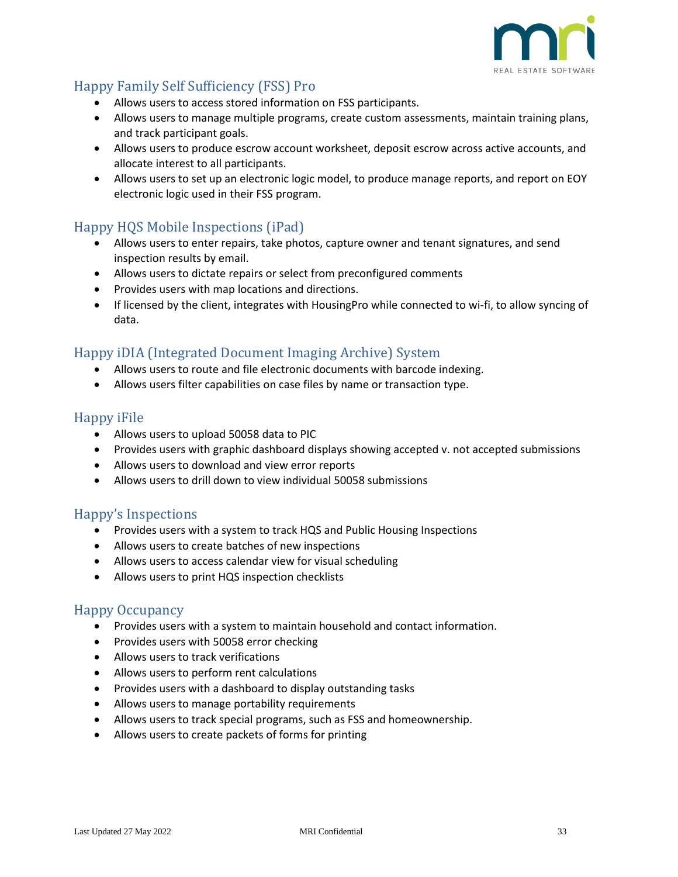![](_page_32_Picture_0.jpeg)

# <span id="page-32-0"></span>Happy Family Self Sufficiency (FSS) Pro

- Allows users to access stored information on FSS participants.
- Allows users to manage multiple programs, create custom assessments, maintain training plans, and track participant goals.
- Allows users to produce escrow account worksheet, deposit escrow across active accounts, and allocate interest to all participants.
- Allows users to set up an electronic logic model, to produce manage reports, and report on EOY electronic logic used in their FSS program.

## <span id="page-32-1"></span>Happy HQS Mobile Inspections (iPad)

- Allows users to enter repairs, take photos, capture owner and tenant signatures, and send inspection results by email.
- Allows users to dictate repairs or select from preconfigured comments
- Provides users with map locations and directions.
- If licensed by the client, integrates with HousingPro while connected to wi-fi, to allow syncing of data.

## <span id="page-32-2"></span>Happy iDIA (Integrated Document Imaging Archive) System

- Allows users to route and file electronic documents with barcode indexing.
- Allows users filter capabilities on case files by name or transaction type.

#### <span id="page-32-3"></span>Happy iFile

- Allows users to upload 50058 data to PIC
- Provides users with graphic dashboard displays showing accepted v. not accepted submissions
- Allows users to download and view error reports
- Allows users to drill down to view individual 50058 submissions

### <span id="page-32-4"></span>Happy's Inspections

- Provides users with a system to track HQS and Public Housing Inspections
- Allows users to create batches of new inspections
- Allows users to access calendar view for visual scheduling
- Allows users to print HQS inspection checklists

### <span id="page-32-5"></span>Happy Occupancy

- Provides users with a system to maintain household and contact information.
- Provides users with 50058 error checking
- Allows users to track verifications
- Allows users to perform rent calculations
- Provides users with a dashboard to display outstanding tasks
- Allows users to manage portability requirements
- Allows users to track special programs, such as FSS and homeownership.
- Allows users to create packets of forms for printing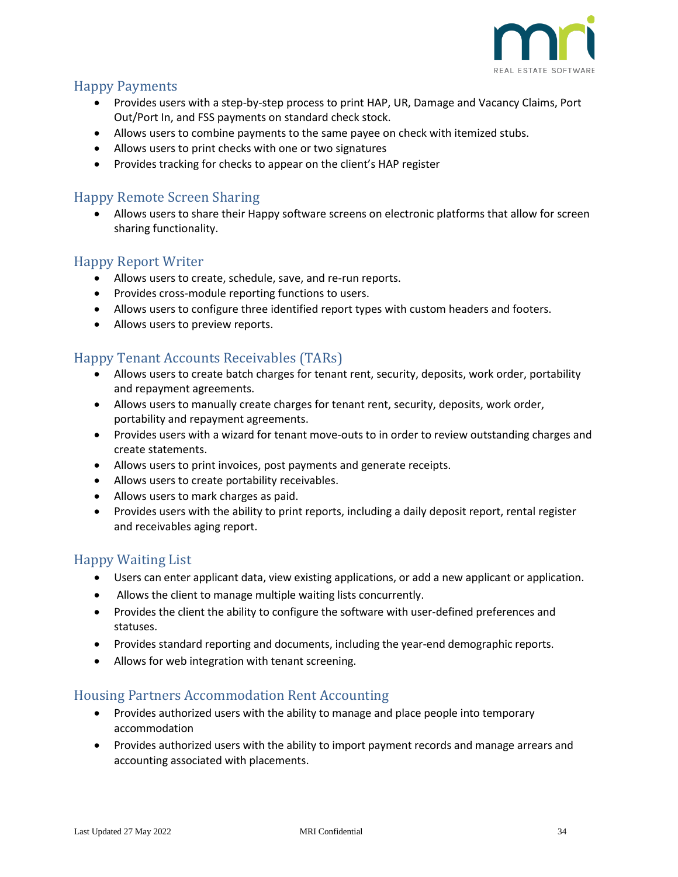![](_page_33_Picture_0.jpeg)

## <span id="page-33-0"></span>Happy Payments

- Provides users with a step-by-step process to print HAP, UR, Damage and Vacancy Claims, Port Out/Port In, and FSS payments on standard check stock.
- Allows users to combine payments to the same payee on check with itemized stubs.
- Allows users to print checks with one or two signatures
- Provides tracking for checks to appear on the client's HAP register

### <span id="page-33-1"></span>Happy Remote Screen Sharing

• Allows users to share their Happy software screens on electronic platforms that allow for screen sharing functionality.

### <span id="page-33-2"></span>Happy Report Writer

- Allows users to create, schedule, save, and re-run reports.
- Provides cross-module reporting functions to users.
- Allows users to configure three identified report types with custom headers and footers.
- Allows users to preview reports.

## <span id="page-33-3"></span>Happy Tenant Accounts Receivables (TARs)

- Allows users to create batch charges for tenant rent, security, deposits, work order, portability and repayment agreements.
- Allows users to manually create charges for tenant rent, security, deposits, work order, portability and repayment agreements.
- Provides users with a wizard for tenant move-outs to in order to review outstanding charges and create statements.
- Allows users to print invoices, post payments and generate receipts.
- Allows users to create portability receivables.
- Allows users to mark charges as paid.
- Provides users with the ability to print reports, including a daily deposit report, rental register and receivables aging report.

### <span id="page-33-4"></span>Happy Waiting List

- Users can enter applicant data, view existing applications, or add a new applicant or application.
- Allows the client to manage multiple waiting lists concurrently.
- Provides the client the ability to configure the software with user-defined preferences and statuses.
- Provides standard reporting and documents, including the year-end demographic reports.
- Allows for web integration with tenant screening.

#### <span id="page-33-5"></span>Housing Partners Accommodation Rent Accounting

- Provides authorized users with the ability to manage and place people into temporary accommodation
- Provides authorized users with the ability to import payment records and manage arrears and accounting associated with placements.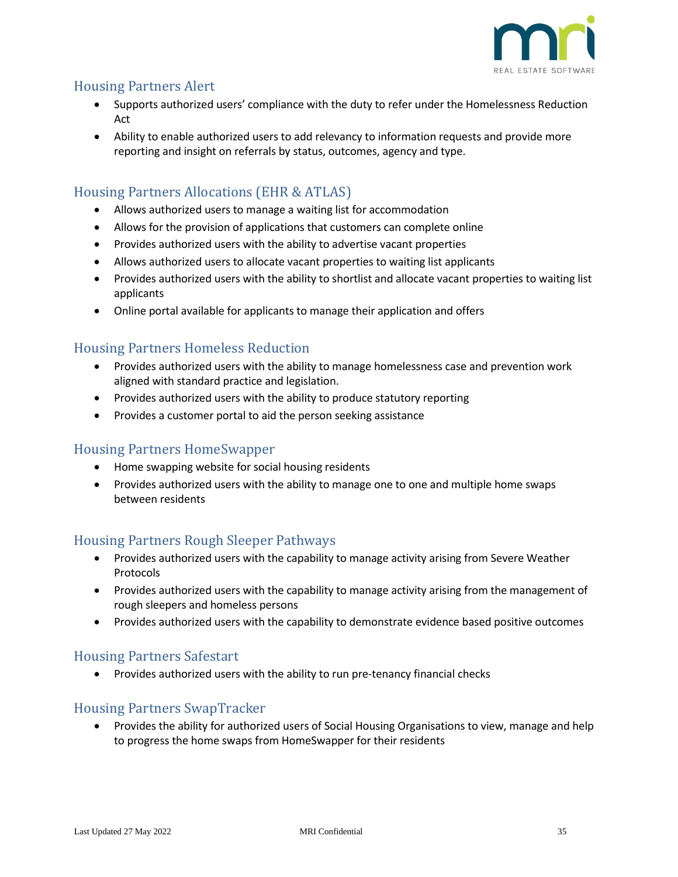![](_page_34_Picture_0.jpeg)

## <span id="page-34-0"></span>Housing Partners Alert

- Supports authorized users' compliance with the duty to refer under the Homelessness Reduction Act
- Ability to enable authorized users to add relevancy to information requests and provide more reporting and insight on referrals by status, outcomes, agency and type.

# <span id="page-34-1"></span>Housing Partners Allocations (EHR & ATLAS)

- Allows authorized users to manage a waiting list for accommodation
- Allows for the provision of applications that customers can complete online
- Provides authorized users with the ability to advertise vacant properties
- Allows authorized users to allocate vacant properties to waiting list applicants
- Provides authorized users with the ability to shortlist and allocate vacant properties to waiting list applicants
- Online portal available for applicants to manage their application and offers

## <span id="page-34-2"></span>Housing Partners Homeless Reduction

- Provides authorized users with the ability to manage homelessness case and prevention work aligned with standard practice and legislation.
- Provides authorized users with the ability to produce statutory reporting
- Provides a customer portal to aid the person seeking assistance

### <span id="page-34-3"></span>Housing Partners HomeSwapper

- Home swapping website for social housing residents
- Provides authorized users with the ability to manage one to one and multiple home swaps between residents

### <span id="page-34-4"></span>Housing Partners Rough Sleeper Pathways

- Provides authorized users with the capability to manage activity arising from Severe Weather Protocols
- Provides authorized users with the capability to manage activity arising from the management of rough sleepers and homeless persons
- Provides authorized users with the capability to demonstrate evidence based positive outcomes

### <span id="page-34-5"></span>Housing Partners Safestart

• Provides authorized users with the ability to run pre-tenancy financial checks

### <span id="page-34-6"></span>Housing Partners SwapTracker

• Provides the ability for authorized users of Social Housing Organisations to view, manage and help to progress the home swaps from HomeSwapper for their residents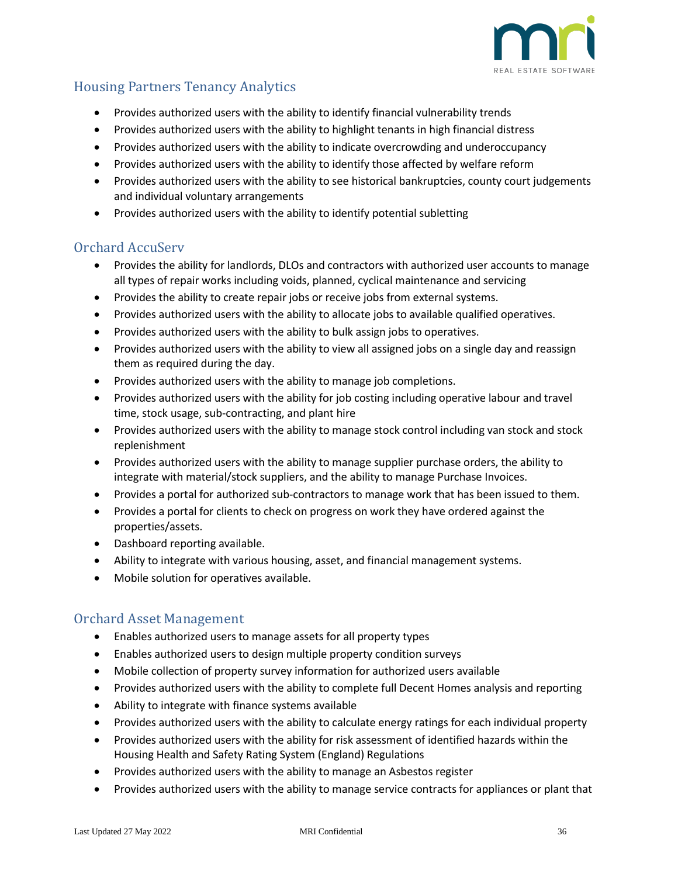![](_page_35_Picture_0.jpeg)

# <span id="page-35-0"></span>Housing Partners Tenancy Analytics

- Provides authorized users with the ability to identify financial vulnerability trends
- Provides authorized users with the ability to highlight tenants in high financial distress
- Provides authorized users with the ability to indicate overcrowding and underoccupancy
- Provides authorized users with the ability to identify those affected by welfare reform
- Provides authorized users with the ability to see historical bankruptcies, county court judgements and individual voluntary arrangements
- Provides authorized users with the ability to identify potential subletting

### <span id="page-35-1"></span>Orchard AccuServ

- Provides the ability for landlords, DLOs and contractors with authorized user accounts to manage all types of repair works including voids, planned, cyclical maintenance and servicing
- Provides the ability to create repair jobs or receive jobs from external systems.
- Provides authorized users with the ability to allocate jobs to available qualified operatives.
- Provides authorized users with the ability to bulk assign jobs to operatives.
- Provides authorized users with the ability to view all assigned jobs on a single day and reassign them as required during the day.
- Provides authorized users with the ability to manage job completions.
- Provides authorized users with the ability for job costing including operative labour and travel time, stock usage, sub-contracting, and plant hire
- Provides authorized users with the ability to manage stock control including van stock and stock replenishment
- Provides authorized users with the ability to manage supplier purchase orders, the ability to integrate with material/stock suppliers, and the ability to manage Purchase Invoices.
- Provides a portal for authorized sub-contractors to manage work that has been issued to them.
- Provides a portal for clients to check on progress on work they have ordered against the properties/assets.
- Dashboard reporting available.
- Ability to integrate with various housing, asset, and financial management systems.
- Mobile solution for operatives available.

### <span id="page-35-2"></span>Orchard Asset Management

- Enables authorized users to manage assets for all property types
- Enables authorized users to design multiple property condition surveys
- Mobile collection of property survey information for authorized users available
- Provides authorized users with the ability to complete full Decent Homes analysis and reporting
- Ability to integrate with finance systems available
- Provides authorized users with the ability to calculate energy ratings for each individual property
- Provides authorized users with the ability for risk assessment of identified hazards within the Housing Health and Safety Rating System (England) Regulations
- Provides authorized users with the ability to manage an Asbestos register
- Provides authorized users with the ability to manage service contracts for appliances or plant that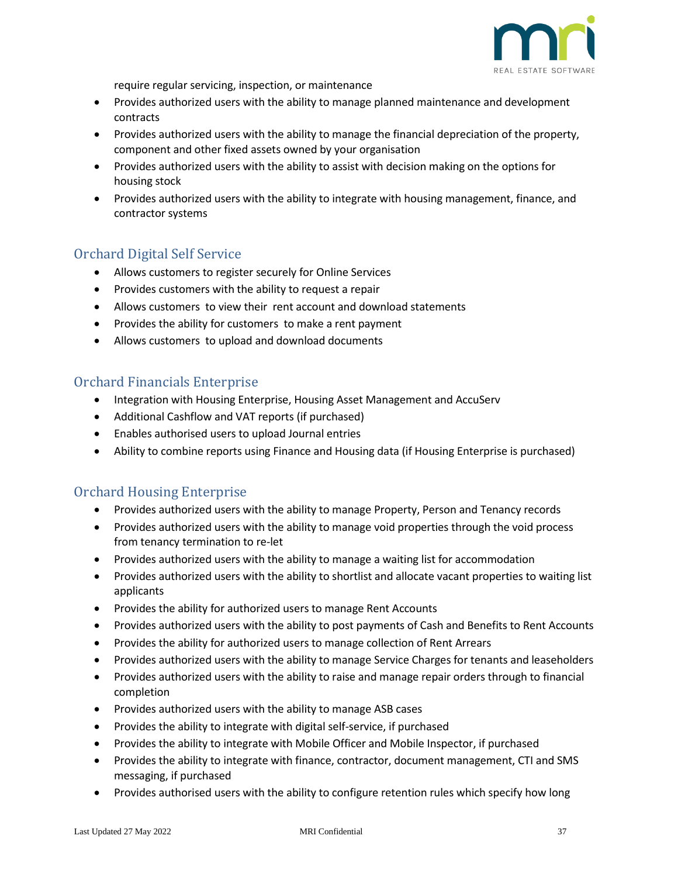![](_page_36_Picture_0.jpeg)

require regular servicing, inspection, or maintenance

- Provides authorized users with the ability to manage planned maintenance and development contracts
- Provides authorized users with the ability to manage the financial depreciation of the property, component and other fixed assets owned by your organisation
- Provides authorized users with the ability to assist with decision making on the options for housing stock
- Provides authorized users with the ability to integrate with housing management, finance, and contractor systems

## <span id="page-36-0"></span>Orchard Digital Self Service

- Allows customers to register securely for Online Services
- Provides customers with the ability to request a repair
- Allows customers to view their rent account and download statements
- Provides the ability for customers to make a rent payment
- Allows customers to upload and download documents

#### <span id="page-36-1"></span>Orchard Financials Enterprise

- Integration with Housing Enterprise, Housing Asset Management and AccuServ
- Additional Cashflow and VAT reports (if purchased)
- Enables authorised users to upload Journal entries
- Ability to combine reports using Finance and Housing data (if Housing Enterprise is purchased)

### <span id="page-36-2"></span>Orchard Housing Enterprise

- Provides authorized users with the ability to manage Property, Person and Tenancy records
- Provides authorized users with the ability to manage void properties through the void process from tenancy termination to re-let
- Provides authorized users with the ability to manage a waiting list for accommodation
- Provides authorized users with the ability to shortlist and allocate vacant properties to waiting list applicants
- Provides the ability for authorized users to manage Rent Accounts
- Provides authorized users with the ability to post payments of Cash and Benefits to Rent Accounts
- Provides the ability for authorized users to manage collection of Rent Arrears
- Provides authorized users with the ability to manage Service Charges for tenants and leaseholders
- Provides authorized users with the ability to raise and manage repair orders through to financial completion
- Provides authorized users with the ability to manage ASB cases
- Provides the ability to integrate with digital self-service, if purchased
- Provides the ability to integrate with Mobile Officer and Mobile Inspector, if purchased
- Provides the ability to integrate with finance, contractor, document management, CTI and SMS messaging, if purchased
- Provides authorised users with the ability to configure retention rules which specify how long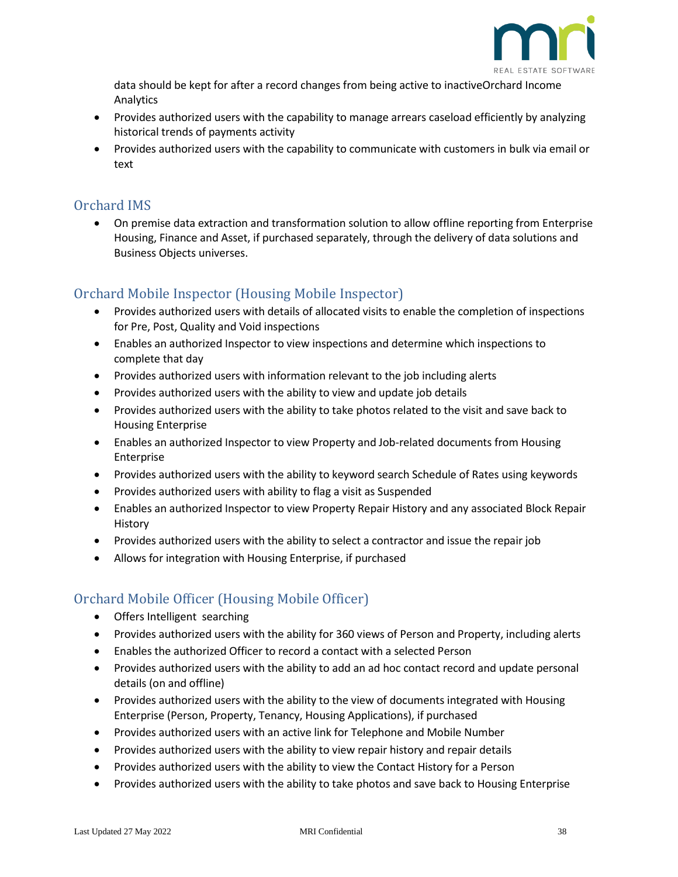![](_page_37_Picture_0.jpeg)

data should be kept for after a record changes from being active to inactiveOrchard Income Analytics

- Provides authorized users with the capability to manage arrears caseload efficiently by analyzing historical trends of payments activity
- Provides authorized users with the capability to communicate with customers in bulk via email or text

## <span id="page-37-0"></span>Orchard IMS

• On premise data extraction and transformation solution to allow offline reporting from Enterprise Housing, Finance and Asset, if purchased separately, through the delivery of data solutions and Business Objects universes.

## <span id="page-37-1"></span>Orchard Mobile Inspector (Housing Mobile Inspector)

- Provides authorized users with details of allocated visits to enable the completion of inspections for Pre, Post, Quality and Void inspections
- Enables an authorized Inspector to view inspections and determine which inspections to complete that day
- Provides authorized users with information relevant to the job including alerts
- Provides authorized users with the ability to view and update job details
- Provides authorized users with the ability to take photos related to the visit and save back to Housing Enterprise
- Enables an authorized Inspector to view Property and Job-related documents from Housing Enterprise
- Provides authorized users with the ability to keyword search Schedule of Rates using keywords
- Provides authorized users with ability to flag a visit as Suspended
- Enables an authorized Inspector to view Property Repair History and any associated Block Repair History
- Provides authorized users with the ability to select a contractor and issue the repair job
- Allows for integration with Housing Enterprise, if purchased

# <span id="page-37-2"></span>Orchard Mobile Officer (Housing Mobile Officer)

- Offers Intelligent searching
- Provides authorized users with the ability for 360 views of Person and Property, including alerts
- Enables the authorized Officer to record a contact with a selected Person
- Provides authorized users with the ability to add an ad hoc contact record and update personal details (on and offline)
- Provides authorized users with the ability to the view of documents integrated with Housing Enterprise (Person, Property, Tenancy, Housing Applications), if purchased
- Provides authorized users with an active link for Telephone and Mobile Number
- Provides authorized users with the ability to view repair history and repair details
- Provides authorized users with the ability to view the Contact History for a Person
- Provides authorized users with the ability to take photos and save back to Housing Enterprise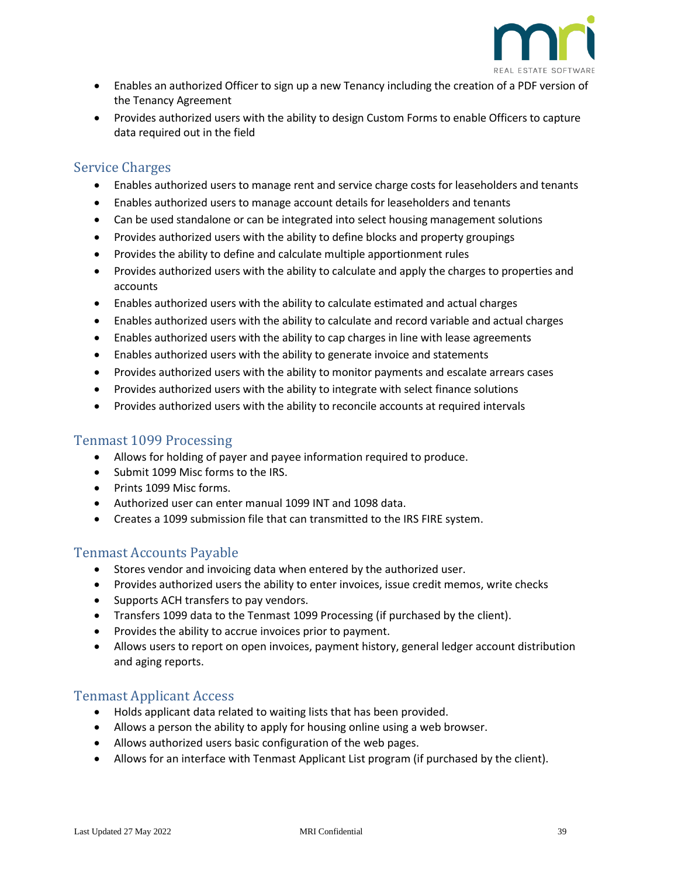![](_page_38_Picture_0.jpeg)

- Enables an authorized Officer to sign up a new Tenancy including the creation of a PDF version of the Tenancy Agreement
- Provides authorized users with the ability to design Custom Forms to enable Officers to capture data required out in the field

#### <span id="page-38-0"></span>Service Charges

- Enables authorized users to manage rent and service charge costs for leaseholders and tenants
- Enables authorized users to manage account details for leaseholders and tenants
- Can be used standalone or can be integrated into select housing management solutions
- Provides authorized users with the ability to define blocks and property groupings
- Provides the ability to define and calculate multiple apportionment rules
- Provides authorized users with the ability to calculate and apply the charges to properties and accounts
- Enables authorized users with the ability to calculate estimated and actual charges
- Enables authorized users with the ability to calculate and record variable and actual charges
- Enables authorized users with the ability to cap charges in line with lease agreements
- Enables authorized users with the ability to generate invoice and statements
- Provides authorized users with the ability to monitor payments and escalate arrears cases
- Provides authorized users with the ability to integrate with select finance solutions
- Provides authorized users with the ability to reconcile accounts at required intervals

#### <span id="page-38-1"></span>Tenmast 1099 Processing

- Allows for holding of payer and payee information required to produce.
- Submit 1099 Misc forms to the IRS.
- Prints 1099 Misc forms.
- Authorized user can enter manual 1099 INT and 1098 data.
- Creates a 1099 submission file that can transmitted to the IRS FIRE system.

### <span id="page-38-2"></span>Tenmast Accounts Payable

- Stores vendor and invoicing data when entered by the authorized user.
- Provides authorized users the ability to enter invoices, issue credit memos, write checks
- Supports ACH transfers to pay vendors.
- Transfers 1099 data to the Tenmast 1099 Processing (if purchased by the client).
- Provides the ability to accrue invoices prior to payment.
- Allows users to report on open invoices, payment history, general ledger account distribution and aging reports.

#### <span id="page-38-3"></span>Tenmast Applicant Access

- Holds applicant data related to waiting lists that has been provided.
- Allows a person the ability to apply for housing online using a web browser.
- Allows authorized users basic configuration of the web pages.
- Allows for an interface with Tenmast Applicant List program (if purchased by the client).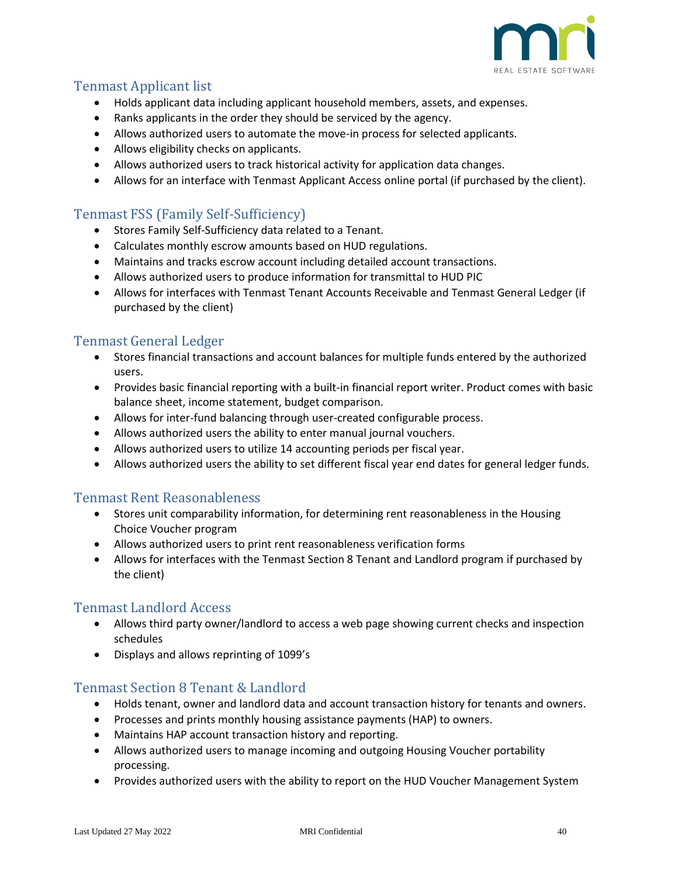![](_page_39_Picture_0.jpeg)

# <span id="page-39-0"></span>Tenmast Applicant list

- Holds applicant data including applicant household members, assets, and expenses.
- Ranks applicants in the order they should be serviced by the agency.
- Allows authorized users to automate the move-in process for selected applicants.
- Allows eligibility checks on applicants.
- Allows authorized users to track historical activity for application data changes.
- Allows for an interface with Tenmast Applicant Access online portal (if purchased by the client).

# <span id="page-39-1"></span>Tenmast FSS (Family Self-Sufficiency)

- Stores Family Self-Sufficiency data related to a Tenant.
- Calculates monthly escrow amounts based on HUD regulations.
- Maintains and tracks escrow account including detailed account transactions.
- Allows authorized users to produce information for transmittal to HUD PIC
- Allows for interfaces with Tenmast Tenant Accounts Receivable and Tenmast General Ledger (if purchased by the client)

### <span id="page-39-2"></span>Tenmast General Ledger

- Stores financial transactions and account balances for multiple funds entered by the authorized users.
- Provides basic financial reporting with a built-in financial report writer. Product comes with basic balance sheet, income statement, budget comparison.
- Allows for inter-fund balancing through user-created configurable process.
- Allows authorized users the ability to enter manual journal vouchers.
- Allows authorized users to utilize 14 accounting periods per fiscal year.
- Allows authorized users the ability to set different fiscal year end dates for general ledger funds.

#### <span id="page-39-3"></span>Tenmast Rent Reasonableness

- Stores unit comparability information, for determining rent reasonableness in the Housing Choice Voucher program
- Allows authorized users to print rent reasonableness verification forms
- Allows for interfaces with the Tenmast Section 8 Tenant and Landlord program if purchased by the client)

#### <span id="page-39-4"></span>Tenmast Landlord Access

- Allows third party owner/landlord to access a web page showing current checks and inspection schedules
- Displays and allows reprinting of 1099's

### <span id="page-39-5"></span>Tenmast Section 8 Tenant & Landlord

- Holds tenant, owner and landlord data and account transaction history for tenants and owners.
- Processes and prints monthly housing assistance payments (HAP) to owners.
- Maintains HAP account transaction history and reporting.
- Allows authorized users to manage incoming and outgoing Housing Voucher portability processing.
- Provides authorized users with the ability to report on the HUD Voucher Management System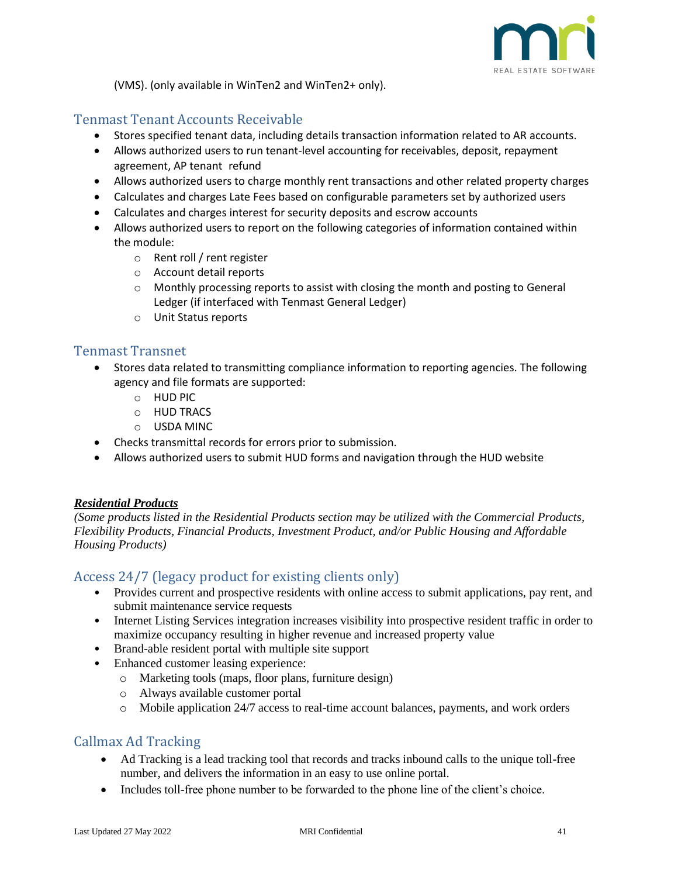![](_page_40_Picture_0.jpeg)

(VMS). (only available in WinTen2 and WinTen2+ only).

## <span id="page-40-0"></span>Tenmast Tenant Accounts Receivable

- Stores specified tenant data, including details transaction information related to AR accounts.
- Allows authorized users to run tenant-level accounting for receivables, deposit, repayment agreement, AP tenant refund
- Allows authorized users to charge monthly rent transactions and other related property charges
- Calculates and charges Late Fees based on configurable parameters set by authorized users
- Calculates and charges interest for security deposits and escrow accounts
- Allows authorized users to report on the following categories of information contained within the module:
	- o Rent roll / rent register
	- o Account detail reports
	- $\circ$  Monthly processing reports to assist with closing the month and posting to General Ledger (if interfaced with Tenmast General Ledger)
	- o Unit Status reports

#### <span id="page-40-1"></span>Tenmast Transnet

- Stores data related to transmitting compliance information to reporting agencies. The following agency and file formats are supported:
	- o HUD PIC
	- o HUD TRACS
	- o USDA MINC
- Checks transmittal records for errors prior to submission.
- Allows authorized users to submit HUD forms and navigation through the HUD website

#### <span id="page-40-2"></span>*Residential Products*

*(Some products listed in the Residential Products section may be utilized with the Commercial Products, Flexibility Products, Financial Products, Investment Product, and/or Public Housing and Affordable Housing Products)*

### <span id="page-40-3"></span>Access 24/7 (legacy product for existing clients only)

- Provides current and prospective residents with online access to submit applications, pay rent, and submit maintenance service requests
- Internet Listing Services integration increases visibility into prospective resident traffic in order to maximize occupancy resulting in higher revenue and increased property value
- Brand-able resident portal with multiple site support
- Enhanced customer leasing experience:
	- o Marketing tools (maps, floor plans, furniture design)
	- o Always available customer portal
	- o Mobile application 24/7 access to real-time account balances, payments, and work orders

### <span id="page-40-4"></span>Callmax Ad Tracking

- Ad Tracking is a lead tracking tool that records and tracks inbound calls to the unique toll-free number, and delivers the information in an easy to use online portal.
- Includes toll-free phone number to be forwarded to the phone line of the client's choice.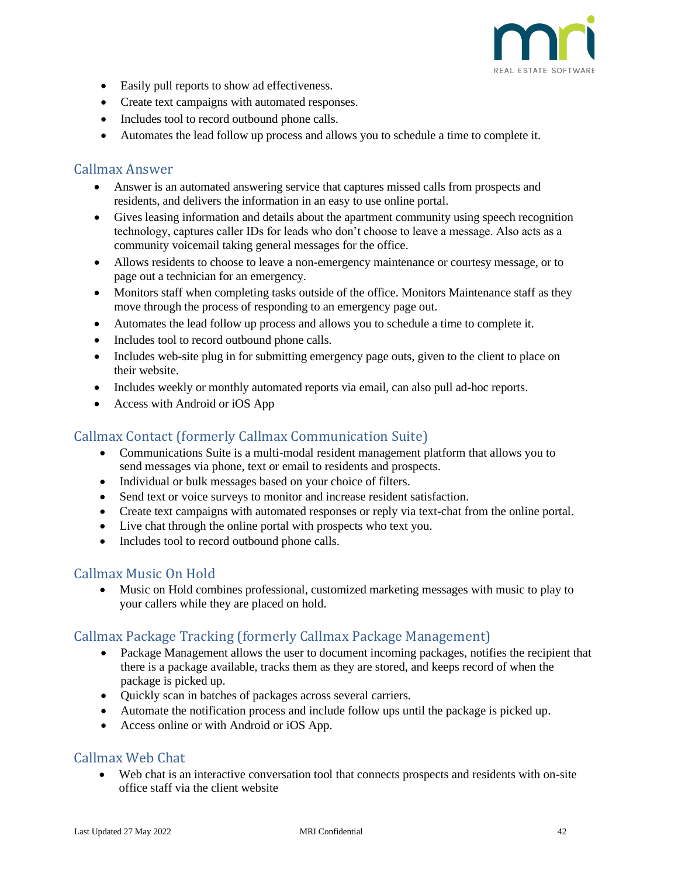![](_page_41_Picture_0.jpeg)

- Easily pull reports to show ad effectiveness.
- Create text campaigns with automated responses.
- Includes tool to record outbound phone calls.
- Automates the lead follow up process and allows you to schedule a time to complete it.

#### <span id="page-41-0"></span>Callmax Answer

- Answer is an automated answering service that captures missed calls from prospects and residents, and delivers the information in an easy to use online portal.
- Gives leasing information and details about the apartment community using speech recognition technology, captures caller IDs for leads who don't choose to leave a message. Also acts as a community voicemail taking general messages for the office.
- Allows residents to choose to leave a non-emergency maintenance or courtesy message, or to page out a technician for an emergency.
- Monitors staff when completing tasks outside of the office. Monitors Maintenance staff as they move through the process of responding to an emergency page out.
- Automates the lead follow up process and allows you to schedule a time to complete it.
- Includes tool to record outbound phone calls.
- Includes web-site plug in for submitting emergency page outs, given to the client to place on their website.
- Includes weekly or monthly automated reports via email, can also pull ad-hoc reports.
- Access with Android or iOS App

#### <span id="page-41-1"></span>Callmax Contact (formerly Callmax Communication Suite)

- Communications Suite is a multi-modal resident management platform that allows you to send messages via phone, text or email to residents and prospects.
- Individual or bulk messages based on your choice of filters.
- Send text or voice surveys to monitor and increase resident satisfaction.
- Create text campaigns with automated responses or reply via text-chat from the online portal.
- Live chat through the online portal with prospects who text you.
- Includes tool to record outbound phone calls.

#### <span id="page-41-2"></span>Callmax Music On Hold

• Music on Hold combines professional, customized marketing messages with music to play to your callers while they are placed on hold.

#### <span id="page-41-3"></span>Callmax Package Tracking (formerly Callmax Package Management)

- Package Management allows the user to document incoming packages, notifies the recipient that there is a package available, tracks them as they are stored, and keeps record of when the package is picked up.
- Quickly scan in batches of packages across several carriers.
- Automate the notification process and include follow ups until the package is picked up.
- Access online or with Android or iOS App.

### <span id="page-41-4"></span>Callmax Web Chat

• Web chat is an interactive conversation tool that connects prospects and residents with on-site office staff via the client website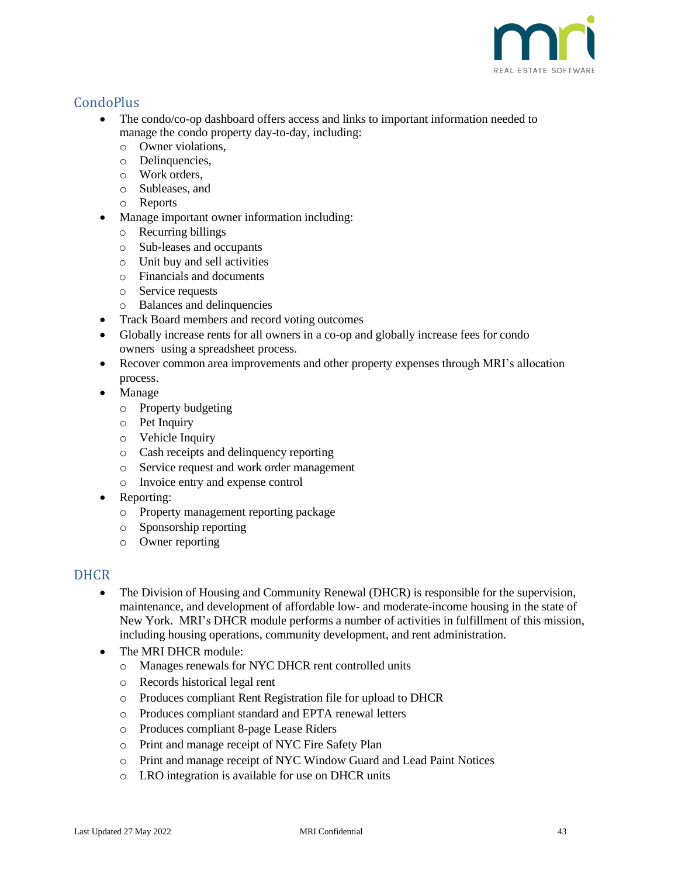![](_page_42_Picture_0.jpeg)

# <span id="page-42-0"></span>**CondoPlus**

- The condo/co-op dashboard offers access and links to important information needed to manage the condo property day-to-day, including:
	- o Owner violations,
	- o Delinquencies,
	- o Work orders,
	- o Subleases, and
	- o Reports
	- Manage important owner information including:
	- o Recurring billings
	- o Sub-leases and occupants
	- o Unit buy and sell activities
	- o Financials and documents
	- o Service requests
	- o Balances and delinquencies
- Track Board members and record voting outcomes
- Globally increase rents for all owners in a co-op and globally increase fees for condo owners using a spreadsheet process.
- Recover common area improvements and other property expenses through MRI's allocation process.
- Manage
	- o Property budgeting
	- o Pet Inquiry
	- o Vehicle Inquiry
	- o Cash receipts and delinquency reporting
	- o Service request and work order management
	- o Invoice entry and expense control
- Reporting:
	- o Property management reporting package
	- o Sponsorship reporting
	- o Owner reporting

### <span id="page-42-1"></span>**DHCR**

- The Division of Housing and Community Renewal (DHCR) is responsible for the supervision, maintenance, and development of affordable low- and moderate-income housing in the state of New York. MRI's DHCR module performs a number of activities in fulfillment of this mission, including housing operations, community development, and rent administration.
- The MRI DHCR module:
	- o Manages renewals for NYC DHCR rent controlled units
	- o Records historical legal rent
	- o Produces compliant Rent Registration file for upload to DHCR
	- o Produces compliant standard and EPTA renewal letters
	- o Produces compliant 8-page Lease Riders
	- o Print and manage receipt of NYC Fire Safety Plan
	- o Print and manage receipt of NYC Window Guard and Lead Paint Notices
	- o LRO integration is available for use on DHCR units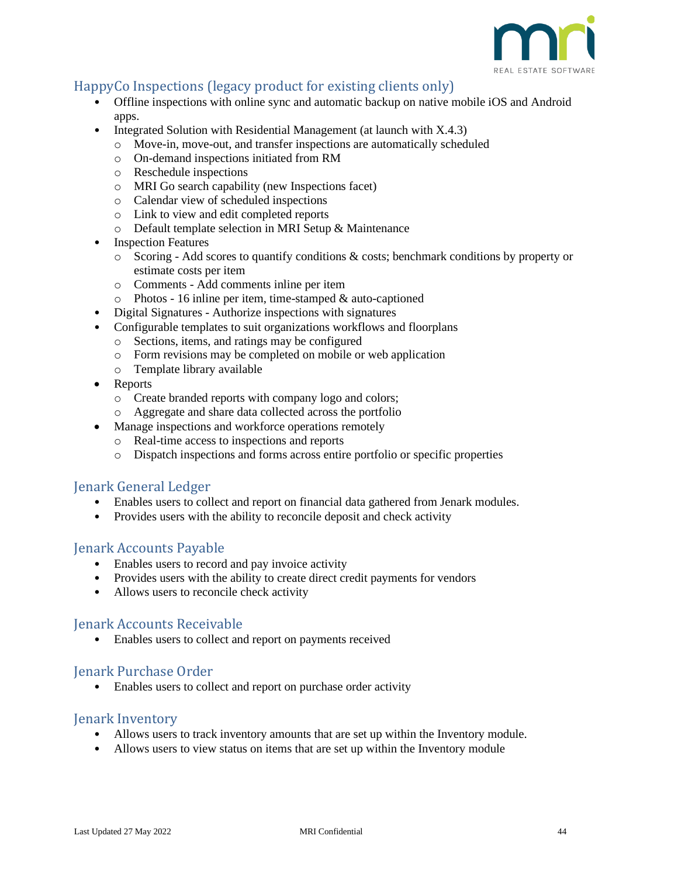![](_page_43_Picture_0.jpeg)

## <span id="page-43-0"></span>HappyCo Inspections (legacy product for existing clients only)

- Offline inspections with online sync and automatic backup on native mobile iOS and Android apps.
- Integrated Solution with Residential Management (at launch with X.4.3)
	- o Move-in, move-out, and transfer inspections are automatically scheduled
	- o On-demand inspections initiated from RM
	- o Reschedule inspections
	- o MRI Go search capability (new Inspections facet)
	- o Calendar view of scheduled inspections
	- o Link to view and edit completed reports
	- o Default template selection in MRI Setup & Maintenance
- **Inspection Features** 
	- o Scoring Add scores to quantify conditions & costs; benchmark conditions by property or estimate costs per item
	- o Comments Add comments inline per item
	- $\circ$  Photos 16 inline per item, time-stamped & auto-captioned
- Digital Signatures Authorize inspections with signatures
- Configurable templates to suit organizations workflows and floorplans
	- o Sections, items, and ratings may be configured
	- o Form revisions may be completed on mobile or web application
	- o Template library available
- Reports
	- o Create branded reports with company logo and colors;
	- o Aggregate and share data collected across the portfolio
- Manage inspections and workforce operations remotely
	- o Real-time access to inspections and reports
	- o Dispatch inspections and forms across entire portfolio or specific properties

#### <span id="page-43-1"></span>Jenark General Ledger

- Enables users to collect and report on financial data gathered from Jenark modules.
- Provides users with the ability to reconcile deposit and check activity

#### <span id="page-43-2"></span>Jenark Accounts Payable

- Enables users to record and pay invoice activity
- Provides users with the ability to create direct credit payments for vendors
- Allows users to reconcile check activity

#### <span id="page-43-3"></span>Jenark Accounts Receivable

• Enables users to collect and report on payments received

#### <span id="page-43-4"></span>Jenark Purchase Order

• Enables users to collect and report on purchase order activity

#### <span id="page-43-5"></span>Jenark Inventory

- Allows users to track inventory amounts that are set up within the Inventory module.
- Allows users to view status on items that are set up within the Inventory module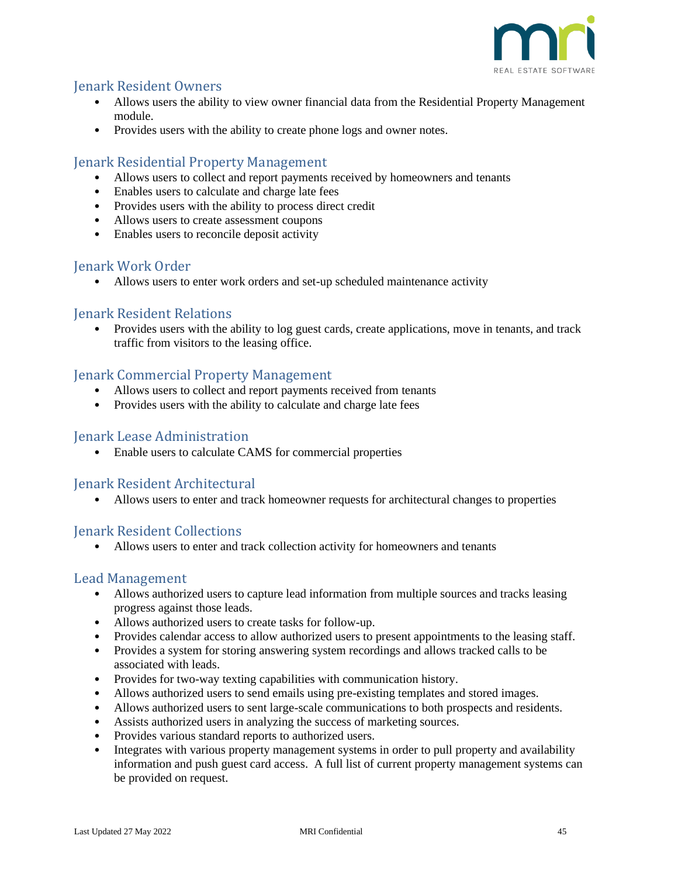![](_page_44_Picture_0.jpeg)

### <span id="page-44-0"></span>Jenark Resident Owners

- Allows users the ability to view owner financial data from the Residential Property Management module.
- Provides users with the ability to create phone logs and owner notes.

### <span id="page-44-1"></span>Jenark Residential Property Management

- Allows users to collect and report payments received by homeowners and tenants
- Enables users to calculate and charge late fees
- Provides users with the ability to process direct credit
- Allows users to create assessment coupons
- Enables users to reconcile deposit activity

### <span id="page-44-2"></span>Jenark Work Order

• Allows users to enter work orders and set-up scheduled maintenance activity

#### <span id="page-44-3"></span>Jenark Resident Relations

• Provides users with the ability to log guest cards, create applications, move in tenants, and track traffic from visitors to the leasing office.

### <span id="page-44-4"></span>Jenark Commercial Property Management

- Allows users to collect and report payments received from tenants
- Provides users with the ability to calculate and charge late fees

#### <span id="page-44-5"></span>Jenark Lease Administration

• Enable users to calculate CAMS for commercial properties

#### <span id="page-44-6"></span>Jenark Resident Architectural

• Allows users to enter and track homeowner requests for architectural changes to properties

#### <span id="page-44-7"></span>Jenark Resident Collections

• Allows users to enter and track collection activity for homeowners and tenants

#### <span id="page-44-8"></span>Lead Management

- Allows authorized users to capture lead information from multiple sources and tracks leasing progress against those leads.
- Allows authorized users to create tasks for follow-up.
- Provides calendar access to allow authorized users to present appointments to the leasing staff.
- Provides a system for storing answering system recordings and allows tracked calls to be associated with leads.
- Provides for two-way texting capabilities with communication history.
- Allows authorized users to send emails using pre-existing templates and stored images.
- Allows authorized users to sent large-scale communications to both prospects and residents.
- Assists authorized users in analyzing the success of marketing sources.
- Provides various standard reports to authorized users.
- Integrates with various property management systems in order to pull property and availability information and push guest card access. A full list of current property management systems can be provided on request.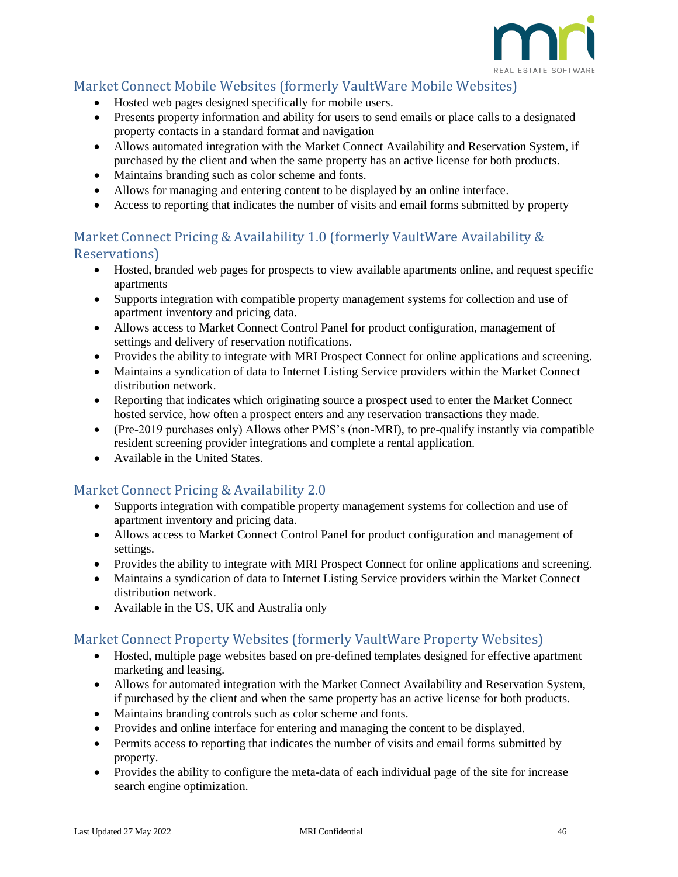![](_page_45_Picture_0.jpeg)

## <span id="page-45-0"></span>Market Connect Mobile Websites (formerly VaultWare Mobile Websites)

- Hosted web pages designed specifically for mobile users.
- Presents property information and ability for users to send emails or place calls to a designated property contacts in a standard format and navigation
- Allows automated integration with the Market Connect Availability and Reservation System, if purchased by the client and when the same property has an active license for both products.
- Maintains branding such as color scheme and fonts.
- Allows for managing and entering content to be displayed by an online interface.
- Access to reporting that indicates the number of visits and email forms submitted by property

## <span id="page-45-1"></span>Market Connect Pricing & Availability 1.0 (formerly VaultWare Availability & Reservations)

- Hosted, branded web pages for prospects to view available apartments online, and request specific apartments
- Supports integration with compatible property management systems for collection and use of apartment inventory and pricing data.
- Allows access to Market Connect Control Panel for product configuration, management of settings and delivery of reservation notifications.
- Provides the ability to integrate with MRI Prospect Connect for online applications and screening.
- Maintains a syndication of data to Internet Listing Service providers within the Market Connect distribution network.
- Reporting that indicates which originating source a prospect used to enter the Market Connect hosted service, how often a prospect enters and any reservation transactions they made.
- (Pre-2019 purchases only) Allows other PMS's (non-MRI), to pre-qualify instantly via compatible resident screening provider integrations and complete a rental application.
- Available in the United States.

## <span id="page-45-2"></span>Market Connect Pricing & Availability 2.0

- Supports integration with compatible property management systems for collection and use of apartment inventory and pricing data.
- Allows access to Market Connect Control Panel for product configuration and management of settings.
- Provides the ability to integrate with MRI Prospect Connect for online applications and screening.
- Maintains a syndication of data to Internet Listing Service providers within the Market Connect distribution network.
- Available in the US, UK and Australia only

### <span id="page-45-3"></span>Market Connect Property Websites (formerly VaultWare Property Websites)

- Hosted, multiple page websites based on pre-defined templates designed for effective apartment marketing and leasing.
- Allows for automated integration with the Market Connect Availability and Reservation System, if purchased by the client and when the same property has an active license for both products.
- Maintains branding controls such as color scheme and fonts.
- Provides and online interface for entering and managing the content to be displayed.
- Permits access to reporting that indicates the number of visits and email forms submitted by property.
- Provides the ability to configure the meta-data of each individual page of the site for increase search engine optimization.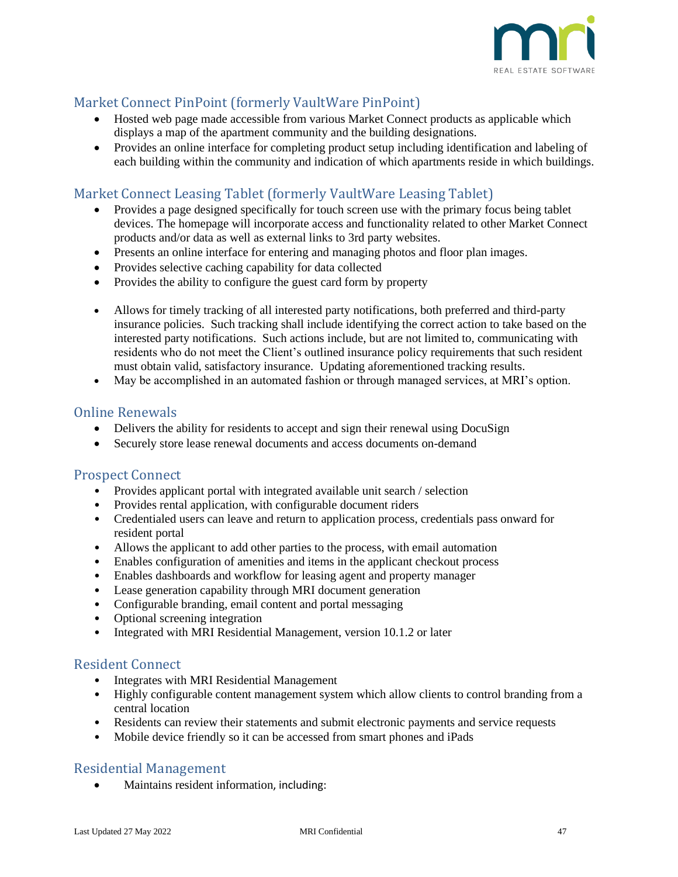![](_page_46_Picture_0.jpeg)

# <span id="page-46-0"></span>Market Connect PinPoint (formerly VaultWare PinPoint)

- Hosted web page made accessible from various Market Connect products as applicable which displays a map of the apartment community and the building designations.
- Provides an online interface for completing product setup including identification and labeling of each building within the community and indication of which apartments reside in which buildings.

# <span id="page-46-1"></span>Market Connect Leasing Tablet (formerly VaultWare Leasing Tablet)

- Provides a page designed specifically for touch screen use with the primary focus being tablet devices. The homepage will incorporate access and functionality related to other Market Connect products and/or data as well as external links to 3rd party websites.
- Presents an online interface for entering and managing photos and floor plan images.
- Provides selective caching capability for data collected
- Provides the ability to configure the guest card form by property
- Allows for timely tracking of all interested party notifications, both preferred and third-party insurance policies. Such tracking shall include identifying the correct action to take based on the interested party notifications. Such actions include, but are not limited to, communicating with residents who do not meet the Client's outlined insurance policy requirements that such resident must obtain valid, satisfactory insurance. Updating aforementioned tracking results.
- May be accomplished in an automated fashion or through managed services, at MRI's option.

#### <span id="page-46-2"></span>Online Renewals

- Delivers the ability for residents to accept and sign their renewal using DocuSign
- Securely store lease renewal documents and access documents on-demand

#### <span id="page-46-3"></span>Prospect Connect

- Provides applicant portal with integrated available unit search / selection
- Provides rental application, with configurable document riders
- Credentialed users can leave and return to application process, credentials pass onward for resident portal
- Allows the applicant to add other parties to the process, with email automation
- Enables configuration of amenities and items in the applicant checkout process
- Enables dashboards and workflow for leasing agent and property manager
- Lease generation capability through MRI document generation
- Configurable branding, email content and portal messaging
- Optional screening integration
- Integrated with MRI Residential Management, version 10.1.2 or later

#### <span id="page-46-4"></span>Resident Connect

- Integrates with MRI Residential Management
- Highly configurable content management system which allow clients to control branding from a central location
- Residents can review their statements and submit electronic payments and service requests
- Mobile device friendly so it can be accessed from smart phones and iPads

#### <span id="page-46-5"></span>Residential Management

• [Maintains resident information](file:///L:/Contracts/Contract%20Templates/Functional%20Specs%20rewrite/MF%20Functional%20Specs%20(7.31-17ad).docx%23residents_maintaining_resident_i_6175), including: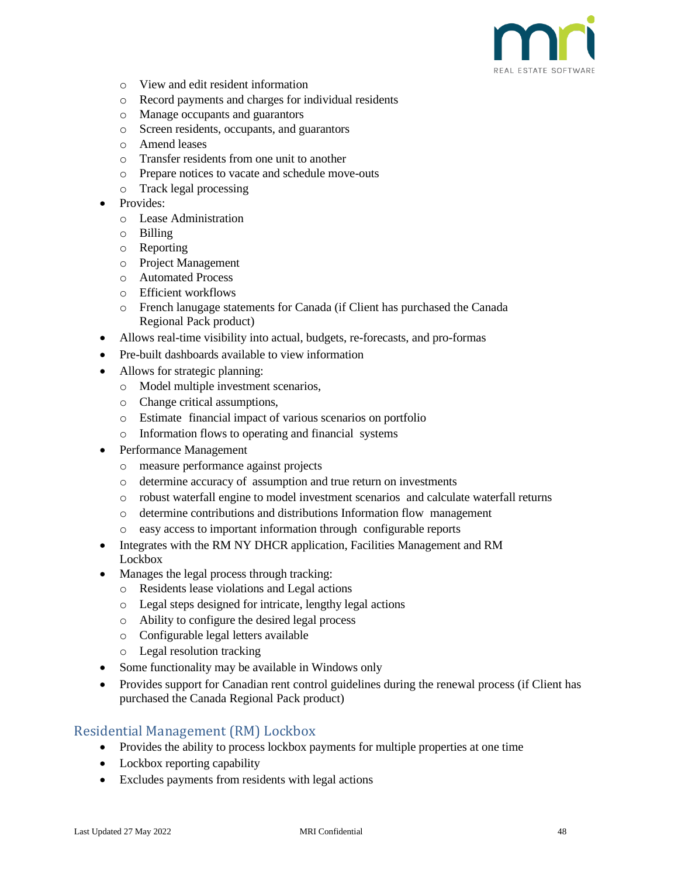![](_page_47_Picture_0.jpeg)

- o [View and edit resident information](file:///L:/Contracts/Contract%20Templates/Functional%20Specs%20rewrite/MF%20Functional%20Specs%20(7.31-17ad).docx%23residents_viewing_resident_infor_7872)
- o [Record payments and charges for individual residents](file:///L:/Contracts/Contract%20Templates/Functional%20Specs%20rewrite/MF%20Functional%20Specs%20(7.31-17ad).docx%23residents_recording_payments_and_6910)
- o [Manage occupants and guarantors](file:///L:/Contracts/Contract%20Templates/Functional%20Specs%20rewrite/MF%20Functional%20Specs%20(7.31-17ad).docx%23occupants_managing_occupants_and_3082)
- o [Screen residents, occupants, and guarantors](file:///L:/Contracts/Contract%20Templates/Functional%20Specs%20rewrite/MF%20Functional%20Specs%20(7.31-17ad).docx%23occupants_screening_residents,_o_4585)
- o [Amend leases](file:///L:/Contracts/Contract%20Templates/Functional%20Specs%20rewrite/MF%20Functional%20Specs%20(7.31-17ad).docx%23amending_leases_about_amending_l_9919)
- o Transfer residents from one unit to another
- o [Prepare notices to vacate and schedule move-outs](file:///L:/Contracts/Contract%20Templates/Functional%20Specs%20rewrite/MF%20Functional%20Specs%20(7.31-17ad).docx%23move_outs_preparing_notices_to_v_8406)
- o [Track legal processing](file:///L:/Contracts/Contract%20Templates/Functional%20Specs%20rewrite/MF%20Functional%20Specs%20(7.31-17ad).docx%23legal_processing_tracking_legal__8137)
- Provides:
	- o Lease Administration
	- o Billing
	- o Reporting
	- o Project Management
	- o Automated Process
	- o Efficient workflows
	- o French lanugage statements for Canada (if Client has purchased the Canada Regional Pack product)
- Allows real-time visibility into actual, budgets, re-forecasts, and pro-formas
- Pre-built dashboards available to view information
- Allows for strategic planning:
	- o Model multiple investment scenarios,
	- o Change critical assumptions,
	- o Estimate financial impact of various scenarios on portfolio
	- o Information flows to operating and financial systems
- Performance Management
	- o measure performance against projects
	- o determine accuracy of assumption and true return on investments
	- o robust waterfall engine to model investment scenarios and calculate waterfall returns
	- o determine contributions and distributions Information flow management
	- o easy access to important information through configurable reports
- Integrates with the RM NY DHCR application, Facilities Management and RM Lockbox
- Manages the legal process through tracking:
	- o Residents lease violations and Legal actions
	- o Legal steps designed for intricate, lengthy legal actions
	- o Ability to configure the desired legal process
	- o Configurable legal letters available
	- o Legal resolution tracking
- Some functionality may be available in Windows only
- Provides support for Canadian rent control guidelines during the renewal process (if Client has purchased the Canada Regional Pack product)

#### <span id="page-47-0"></span>Residential Management (RM) Lockbox

- Provides the ability to process lockbox payments for multiple properties at one time
- Lockbox reporting capability
- Excludes payments from residents with legal actions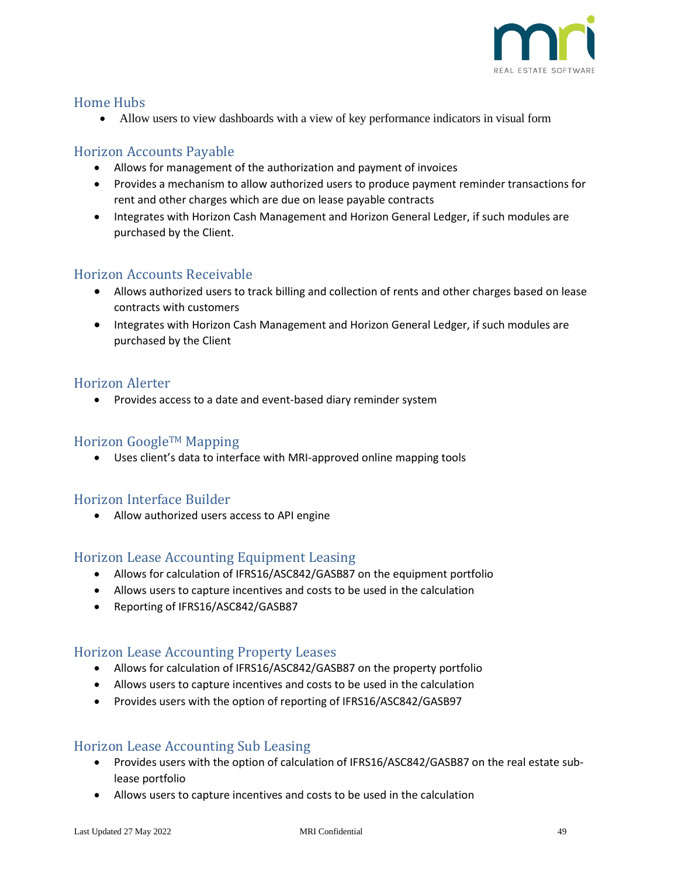![](_page_48_Picture_0.jpeg)

## <span id="page-48-0"></span>Home Hubs

• Allow users to view dashboards with a view of key performance indicators in visual form

# <span id="page-48-1"></span>Horizon Accounts Payable

- Allows for management of the authorization and payment of invoices
- Provides a mechanism to allow authorized users to produce payment reminder transactions for rent and other charges which are due on lease payable contracts
- Integrates with Horizon Cash Management and Horizon General Ledger, if such modules are purchased by the Client.

## <span id="page-48-2"></span>Horizon Accounts Receivable

- Allows authorized users to track billing and collection of rents and other charges based on lease contracts with customers
- Integrates with Horizon Cash Management and Horizon General Ledger, if such modules are purchased by the Client

### <span id="page-48-3"></span>Horizon Alerter

• Provides access to a date and event-based diary reminder system

### <span id="page-48-4"></span>Horizon GoogleTM Mapping

• Uses client's data to interface with MRI-approved online mapping tools

### <span id="page-48-5"></span>Horizon Interface Builder

• Allow authorized users access to API engine

### <span id="page-48-6"></span>Horizon Lease Accounting Equipment Leasing

- Allows for calculation of IFRS16/ASC842/GASB87 on the equipment portfolio
- Allows users to capture incentives and costs to be used in the calculation
- Reporting of IFRS16/ASC842/GASB87

### <span id="page-48-7"></span>Horizon Lease Accounting Property Leases

- Allows for calculation of IFRS16/ASC842/GASB87 on the property portfolio
- Allows users to capture incentives and costs to be used in the calculation
- Provides users with the option of reporting of IFRS16/ASC842/GASB97

### <span id="page-48-8"></span>Horizon Lease Accounting Sub Leasing

- Provides users with the option of calculation of IFRS16/ASC842/GASB87 on the real estate sublease portfolio
- Allows users to capture incentives and costs to be used in the calculation